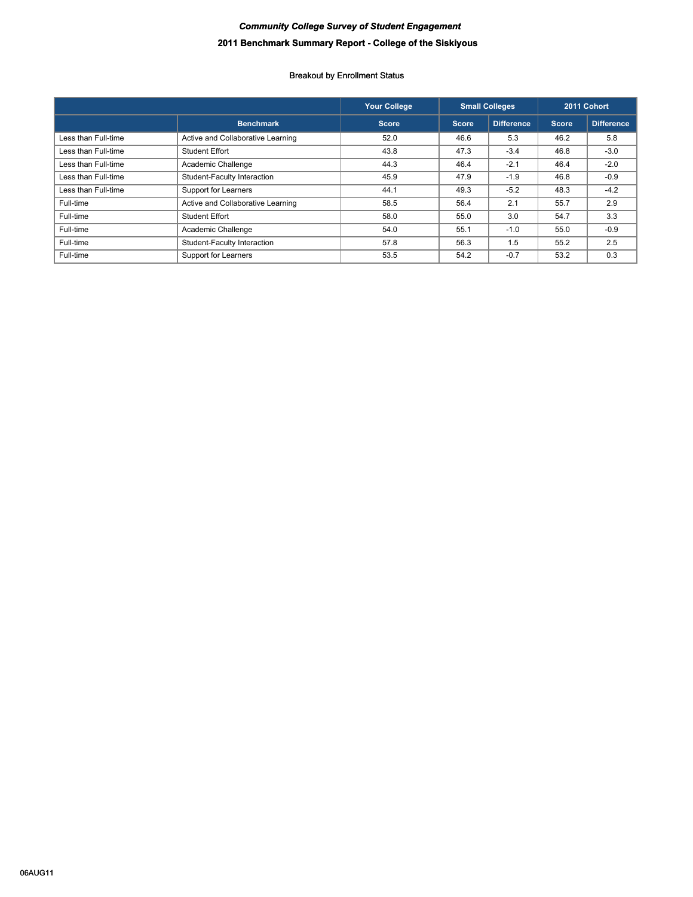# *Community College Survey of Student Engagement* **2011 Benchmark Summary Report - College of the Siskiyous**

|                     |                                   | <b>Your College</b> | <b>Small Colleges</b> |                   |              | 2011 Cohort |
|---------------------|-----------------------------------|---------------------|-----------------------|-------------------|--------------|-------------|
|                     | <b>Benchmark</b>                  | Score               | <b>Score</b>          | <b>Difference</b> | <b>Score</b> | Difference  |
| Less than Full-time | Active and Collaborative Learning | 52.0                | 46.6                  | 5.3               | 46.2         | 5.8         |
| Less than Full-time | <b>Student Effort</b>             | 43.8                | 47.3                  | $-3.4$            | 46.8         | $-3.0$      |
| Less than Full-time | Academic Challenge                | 44.3                | 46.4                  | $-2.1$            | 46.4         | $-2.0$      |
| Less than Full-time | Student-Faculty Interaction       | 45.9                | 47.9                  | $-1.9$            | 46.8         | $-0.9$      |
| Less than Full-time | Support for Learners              | 44.1                | 49.3                  | $-5.2$            | 48.3         | $-4.2$      |
| Full-time           | Active and Collaborative Learning | 58.5                | 56.4                  | 2.1               | 55.7         | 2.9         |
| Full-time           | Student Effort                    | 58.0                | 55.0                  | 3.0               | 54.7         | 3.3         |
| Full-time           | Academic Challenge                | 54.0                | 55.1                  | $-1.0$            | 55.0         | $-0.9$      |
| Full-time           | Student-Faculty Interaction       | 57.8                | 56.3                  | 1.5               | 55.2         | 2.5         |
| Full-time           | Support for Learners              | 53.5                | 54.2                  | $-0.7$            | 53.2         | 0.3         |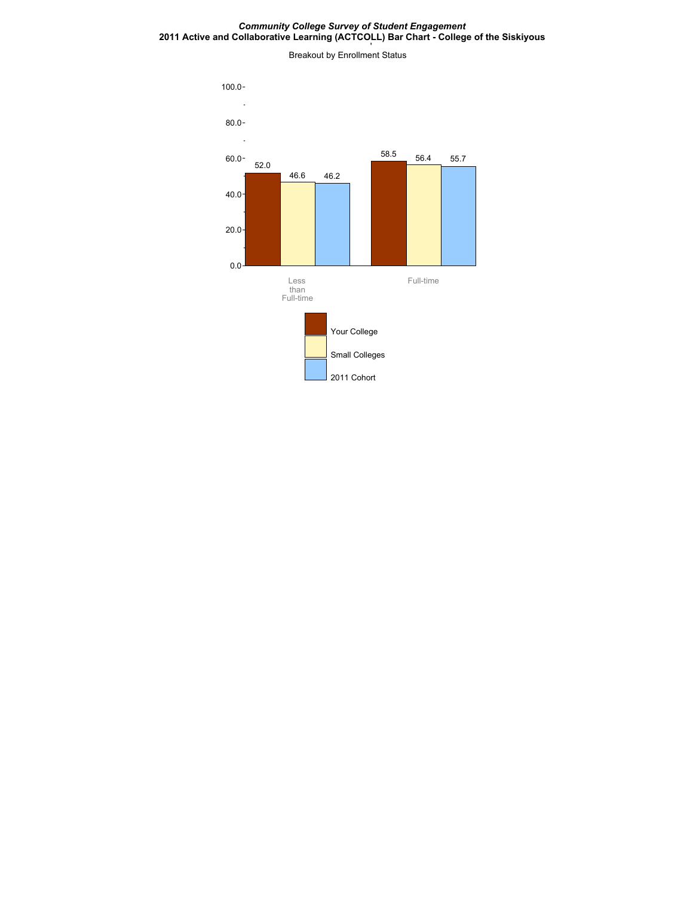#### *Community College Survey of Student Engagement* **2011 Active and Collaborative Learning (ACTCOLL) Bar Chart - College of the Siskiyous**

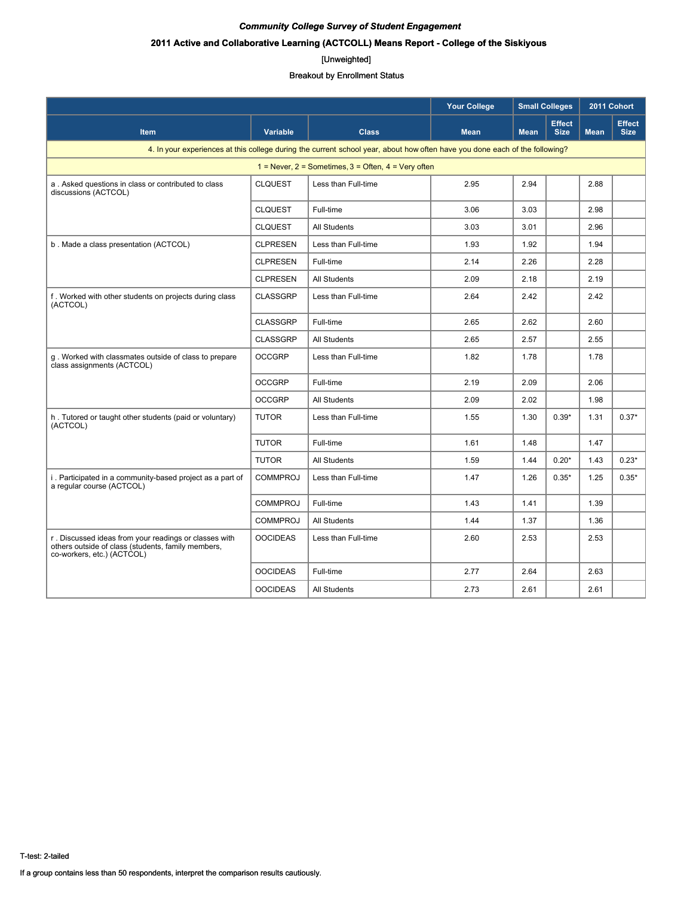# **2011 Active and Collaborative Learning (ACTCOLL) Means Report - College of the Siskiyous**

#### [Unweighted]

|                                                                                                                                           |                 | <b>Your College</b>                                                                                                         |             | <b>Small Colleges</b> |                              | 2011 Cohort |                              |
|-------------------------------------------------------------------------------------------------------------------------------------------|-----------------|-----------------------------------------------------------------------------------------------------------------------------|-------------|-----------------------|------------------------------|-------------|------------------------------|
| <b>Item</b>                                                                                                                               | <b>Variable</b> | <b>Class</b>                                                                                                                | <b>Mean</b> | <b>Mean</b>           | <b>Effect</b><br><b>Size</b> | <b>Mean</b> | <b>Effect</b><br><b>Size</b> |
|                                                                                                                                           |                 | 4. In your experiences at this college during the current school year, about how often have you done each of the following? |             |                       |                              |             |                              |
|                                                                                                                                           |                 | $1 =$ Never, $2 =$ Sometimes, $3 =$ Often, $4 =$ Very often                                                                 |             |                       |                              |             |                              |
| a. Asked questions in class or contributed to class<br>discussions (ACTCOL)                                                               | <b>CLQUEST</b>  | Less than Full-time                                                                                                         | 2.95        | 2.94                  |                              | 2.88        |                              |
|                                                                                                                                           | <b>CLQUEST</b>  | Full-time                                                                                                                   | 3.06        | 3.03                  |                              | 2.98        |                              |
|                                                                                                                                           | <b>CLQUEST</b>  | <b>All Students</b>                                                                                                         | 3.03        | 3.01                  |                              | 2.96        |                              |
| b. Made a class presentation (ACTCOL)                                                                                                     | <b>CLPRESEN</b> | Less than Full-time                                                                                                         | 1.93        | 1.92                  |                              | 1.94        |                              |
|                                                                                                                                           | <b>CLPRESEN</b> | Full-time                                                                                                                   | 2.14        | 2.26                  |                              | 2.28        |                              |
|                                                                                                                                           | <b>CLPRESEN</b> | <b>All Students</b>                                                                                                         | 2.09        | 2.18                  |                              | 2.19        |                              |
| f. Worked with other students on projects during class<br>(ACTCOL)                                                                        | <b>CLASSGRP</b> | Less than Full-time                                                                                                         | 2.64        | 2.42                  |                              | 2.42        |                              |
|                                                                                                                                           | <b>CLASSGRP</b> | Full-time                                                                                                                   | 2.65        | 2.62                  |                              | 2.60        |                              |
|                                                                                                                                           | <b>CLASSGRP</b> | <b>All Students</b>                                                                                                         | 2.65        | 2.57                  |                              | 2.55        |                              |
| q. Worked with classmates outside of class to prepare<br>class assignments (ACTCOL)                                                       | <b>OCCGRP</b>   | Less than Full-time                                                                                                         | 1.82        | 1.78                  |                              | 1.78        |                              |
|                                                                                                                                           | <b>OCCGRP</b>   | Full-time                                                                                                                   | 2.19        | 2.09                  |                              | 2.06        |                              |
|                                                                                                                                           | <b>OCCGRP</b>   | <b>All Students</b>                                                                                                         | 2.09        | 2.02                  |                              | 1.98        |                              |
| h. Tutored or taught other students (paid or voluntary)<br>(ACTCOL)                                                                       | <b>TUTOR</b>    | Less than Full-time                                                                                                         | 1.55        | 1.30                  | $0.39*$                      | 1.31        | $0.37*$                      |
|                                                                                                                                           | <b>TUTOR</b>    | Full-time                                                                                                                   | 1.61        | 1.48                  |                              | 1.47        |                              |
|                                                                                                                                           | <b>TUTOR</b>    | <b>All Students</b>                                                                                                         | 1.59        | 1.44                  | $0.20*$                      | 1.43        | $0.23*$                      |
| i. Participated in a community-based project as a part of<br>a regular course (ACTCOL)                                                    | <b>COMMPROJ</b> | Less than Full-time                                                                                                         | 1.47        | 1.26                  | $0.35*$                      | 1.25        | $0.35*$                      |
|                                                                                                                                           | <b>COMMPROJ</b> | Full-time                                                                                                                   | 1.43        | 1.41                  |                              | 1.39        |                              |
|                                                                                                                                           | <b>COMMPROJ</b> | <b>All Students</b>                                                                                                         | 1.44        | 1.37                  |                              | 1.36        |                              |
| r. Discussed ideas from your readings or classes with<br>others outside of class (students, family members,<br>co-workers, etc.) (ACTCOL) | <b>OOCIDEAS</b> | Less than Full-time                                                                                                         | 2.60        | 2.53                  |                              | 2.53        |                              |
|                                                                                                                                           | <b>OOCIDEAS</b> | Full-time                                                                                                                   | 2.77        | 2.64                  |                              | 2.63        |                              |
|                                                                                                                                           | <b>OOCIDEAS</b> | <b>All Students</b>                                                                                                         | 2.73        | 2.61                  |                              | 2.61        |                              |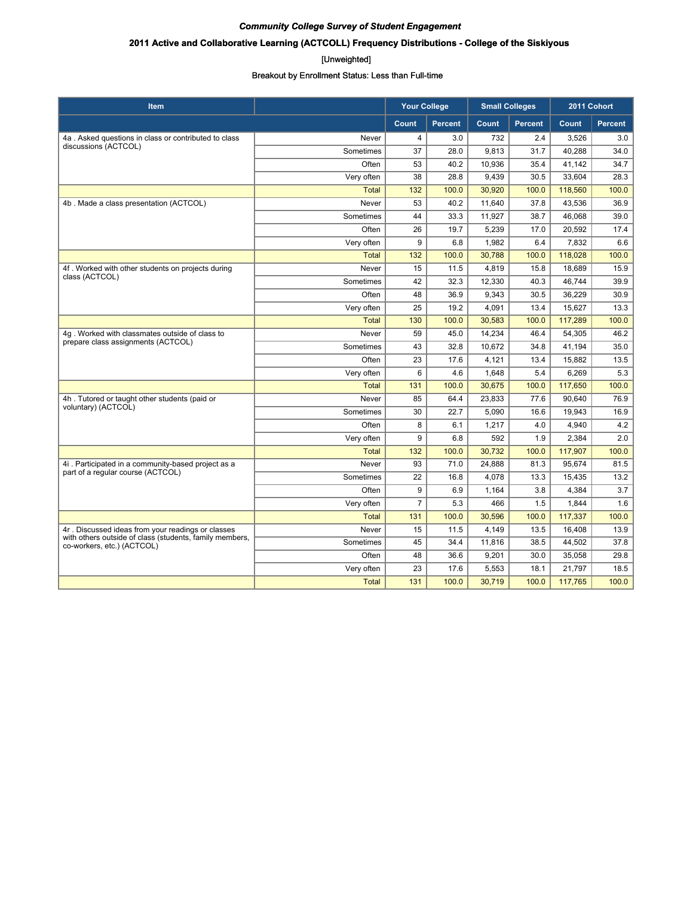# **2011 Active and Collaborative Learning (ACTCOLL) Frequency Distributions - College of the Siskiyous**

#### [Unweighted]

| <b>Item</b>                                                                           |              | <b>Your College</b> |                | <b>Small Colleges</b> |                | 2011 Cohort |                |
|---------------------------------------------------------------------------------------|--------------|---------------------|----------------|-----------------------|----------------|-------------|----------------|
|                                                                                       |              | Count               | <b>Percent</b> | Count                 | <b>Percent</b> | Count       | <b>Percent</b> |
| 4a. Asked questions in class or contributed to class                                  | Never        | $\overline{4}$      | 3.0            | 732                   | 2.4            | 3.526       | 3.0            |
| discussions (ACTCOL)                                                                  | Sometimes    | 37                  | 28.0           | 9,813                 | 31.7           | 40.288      | 34.0           |
|                                                                                       | Often        | 53                  | 40.2           | 10,936                | 35.4           | 41.142      | 34.7           |
|                                                                                       | Very often   | 38                  | 28.8           | 9,439                 | 30.5           | 33,604      | 28.3           |
|                                                                                       | <b>Total</b> | 132                 | 100.0          | 30,920                | 100.0          | 118,560     | 100.0          |
| 4b. Made a class presentation (ACTCOL)                                                | Never        | 53                  | 40.2           | 11,640                | 37.8           | 43,536      | 36.9           |
|                                                                                       | Sometimes    | 44                  | 33.3           | 11,927                | 38.7           | 46,068      | 39.0           |
|                                                                                       | Often        | 26                  | 19.7           | 5,239                 | 17.0           | 20,592      | 17.4           |
|                                                                                       | Very often   | 9                   | 6.8            | 1,982                 | 6.4            | 7,832       | 6.6            |
|                                                                                       | <b>Total</b> | 132                 | 100.0          | 30,788                | 100.0          | 118,028     | 100.0          |
| 4f. Worked with other students on projects during                                     | Never        | 15                  | 11.5           | 4,819                 | 15.8           | 18.689      | 15.9           |
| class (ACTCOL)                                                                        | Sometimes    | 42                  | 32.3           | 12,330                | 40.3           | 46.744      | 39.9           |
|                                                                                       | Often        | 48                  | 36.9           | 9,343                 | 30.5           | 36,229      | 30.9           |
|                                                                                       | Very often   | 25                  | 19.2           | 4,091                 | 13.4           | 15,627      | 13.3           |
|                                                                                       | <b>Total</b> | 130                 | 100.0          | 30,583                | 100.0          | 117,289     | 100.0          |
| 4q. Worked with classmates outside of class to                                        | Never        | 59                  | 45.0           | 14,234                | 46.4           | 54,305      | 46.2           |
| prepare class assignments (ACTCOL)                                                    | Sometimes    | 43                  | 32.8           | 10,672                | 34.8           | 41,194      | 35.0           |
|                                                                                       | Often        | 23                  | 17.6           | 4,121                 | 13.4           | 15,882      | 13.5           |
|                                                                                       | Very often   | 6                   | 4.6            | 1,648                 | 5.4            | 6,269       | 5.3            |
|                                                                                       | <b>Total</b> | 131                 | 100.0          | 30,675                | 100.0          | 117,650     | 100.0          |
| 4h. Tutored or taught other students (paid or                                         | Never        | 85                  | 64.4           | 23,833                | 77.6           | 90.640      | 76.9           |
| voluntary) (ACTCOL)                                                                   | Sometimes    | 30                  | 22.7           | 5.090                 | 16.6           | 19.943      | 16.9           |
|                                                                                       | Often        | 8                   | 6.1            | 1,217                 | 4.0            | 4,940       | 4.2            |
|                                                                                       | Very often   | 9                   | 6.8            | 592                   | 1.9            | 2,384       | 2.0            |
|                                                                                       | <b>Total</b> | 132                 | 100.0          | 30,732                | 100.0          | 117,907     | 100.0          |
| 4i. Participated in a community-based project as a                                    | Never        | 93                  | 71.0           | 24,888                | 81.3           | 95,674      | 81.5           |
| part of a regular course (ACTCOL)                                                     | Sometimes    | 22                  | 16.8           | 4,078                 | 13.3           | 15,435      | 13.2           |
|                                                                                       | Often        | 9                   | 6.9            | 1,164                 | 3.8            | 4,384       | 3.7            |
|                                                                                       | Very often   | $\overline{7}$      | 5.3            | 466                   | 1.5            | 1,844       | 1.6            |
|                                                                                       | <b>Total</b> | 131                 | 100.0          | 30.596                | 100.0          | 117,337     | 100.0          |
| 4r. Discussed ideas from your readings or classes                                     | Never        | 15                  | 11.5           | 4,149                 | 13.5           | 16,408      | 13.9           |
| with others outside of class (students, family members,<br>co-workers, etc.) (ACTCOL) | Sometimes    | 45                  | 34.4           | 11.816                | 38.5           | 44,502      | 37.8           |
|                                                                                       | Often        | 48                  | 36.6           | 9,201                 | 30.0           | 35,058      | 29.8           |
|                                                                                       | Very often   | 23                  | 17.6           | 5,553                 | 18.1           | 21,797      | 18.5           |
|                                                                                       | <b>Total</b> | 131                 | 100.0          | 30,719                | 100.0          | 117,765     | 100.0          |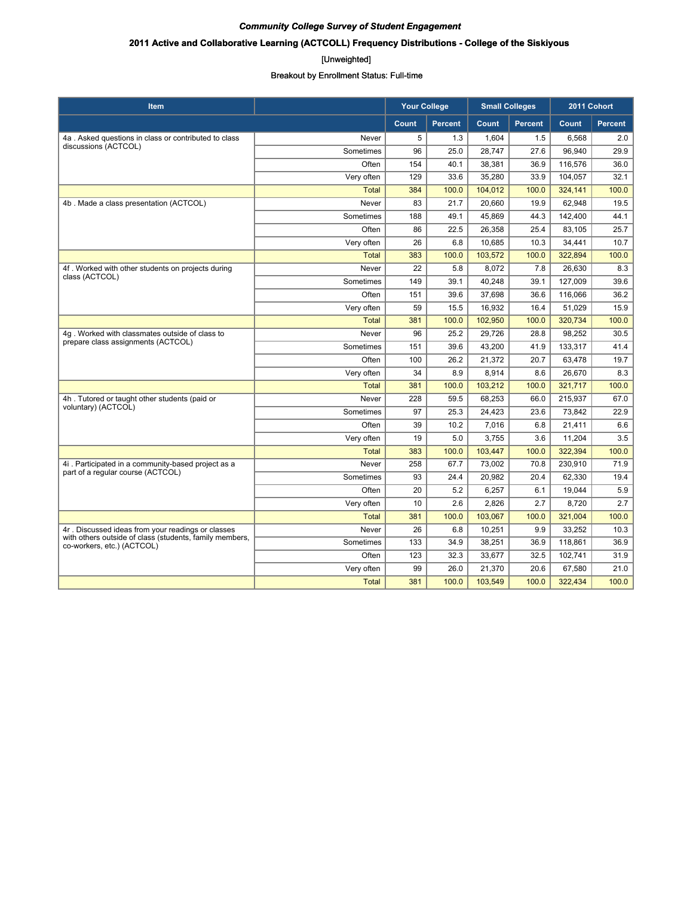# **2011 Active and Collaborative Learning (ACTCOLL) Frequency Distributions - College of the Siskiyous**

#### [Unweighted]

| <b>Item</b>                                                                           |              | <b>Your College</b> |                | <b>Small Colleges</b> |                |         | 2011 Cohort    |
|---------------------------------------------------------------------------------------|--------------|---------------------|----------------|-----------------------|----------------|---------|----------------|
|                                                                                       |              | Count               | <b>Percent</b> | Count                 | <b>Percent</b> | Count   | <b>Percent</b> |
| 4a. Asked questions in class or contributed to class                                  | Never        | 5                   | 1.3            | 1,604                 | 1.5            | 6,568   | 2.0            |
| discussions (ACTCOL)                                                                  | Sometimes    | 96                  | 25.0           | 28,747                | 27.6           | 96,940  | 29.9           |
|                                                                                       | Often        | 154                 | 40.1           | 38,381                | 36.9           | 116,576 | 36.0           |
|                                                                                       | Very often   | 129                 | 33.6           | 35,280                | 33.9           | 104,057 | 32.1           |
|                                                                                       | <b>Total</b> | 384                 | 100.0          | 104,012               | 100.0          | 324,141 | 100.0          |
| 4b. Made a class presentation (ACTCOL)                                                | Never        | 83                  | 21.7           | 20,660                | 19.9           | 62,948  | 19.5           |
|                                                                                       | Sometimes    | 188                 | 49.1           | 45,869                | 44.3           | 142,400 | 44.1           |
|                                                                                       | Often        | 86                  | 22.5           | 26,358                | 25.4           | 83,105  | 25.7           |
|                                                                                       | Very often   | 26                  | 6.8            | 10,685                | 10.3           | 34,441  | 10.7           |
|                                                                                       | <b>Total</b> | 383                 | 100.0          | 103,572               | 100.0          | 322,894 | 100.0          |
| 4f. Worked with other students on projects during                                     | Never        | 22                  | 5.8            | 8,072                 | 7.8            | 26,630  | 8.3            |
| class (ACTCOL)                                                                        | Sometimes    | 149                 | 39.1           | 40,248                | 39.1           | 127,009 | 39.6           |
|                                                                                       | Often        | 151                 | 39.6           | 37,698                | 36.6           | 116,066 | 36.2           |
|                                                                                       | Very often   | 59                  | 15.5           | 16,932                | 16.4           | 51,029  | 15.9           |
|                                                                                       | <b>Total</b> | 381                 | 100.0          | 102,950               | 100.0          | 320,734 | 100.0          |
| 4g. Worked with classmates outside of class to                                        | Never        | 96                  | 25.2           | 29,726                | 28.8           | 98,252  | 30.5           |
| prepare class assignments (ACTCOL)                                                    | Sometimes    | 151                 | 39.6           | 43,200                | 41.9           | 133,317 | 41.4           |
|                                                                                       | Often        | 100                 | 26.2           | 21,372                | 20.7           | 63,478  | 19.7           |
|                                                                                       | Very often   | 34                  | 8.9            | 8,914                 | 8.6            | 26,670  | 8.3            |
|                                                                                       | <b>Total</b> | 381                 | 100.0          | 103,212               | 100.0          | 321,717 | 100.0          |
| 4h. Tutored or taught other students (paid or                                         | Never        | 228                 | 59.5           | 68,253                | 66.0           | 215,937 | 67.0           |
| voluntary) (ACTCOL)                                                                   | Sometimes    | 97                  | 25.3           | 24,423                | 23.6           | 73,842  | 22.9           |
|                                                                                       | Often        | 39                  | 10.2           | 7,016                 | 6.8            | 21,411  | 6.6            |
|                                                                                       | Very often   | 19                  | 5.0            | 3,755                 | 3.6            | 11,204  | 3.5            |
|                                                                                       | <b>Total</b> | 383                 | 100.0          | 103,447               | 100.0          | 322,394 | 100.0          |
| 4i. Participated in a community-based project as a                                    | Never        | 258                 | 67.7           | 73,002                | 70.8           | 230,910 | 71.9           |
| part of a regular course (ACTCOL)                                                     | Sometimes    | 93                  | 24.4           | 20,982                | 20.4           | 62,330  | 19.4           |
|                                                                                       | Often        | 20                  | 5.2            | 6,257                 | 6.1            | 19,044  | 5.9            |
|                                                                                       | Very often   | 10                  | 2.6            | 2,826                 | 2.7            | 8,720   | 2.7            |
|                                                                                       | <b>Total</b> | 381                 | 100.0          | 103,067               | 100.0          | 321,004 | 100.0          |
| 4r. Discussed ideas from your readings or classes                                     | Never        | 26                  | 6.8            | 10,251                | 9.9            | 33,252  | 10.3           |
| with others outside of class (students, family members,<br>co-workers, etc.) (ACTCOL) | Sometimes    | 133                 | 34.9           | 38,251                | 36.9           | 118,861 | 36.9           |
|                                                                                       | Often        | 123                 | 32.3           | 33,677                | 32.5           | 102,741 | 31.9           |
|                                                                                       | Very often   | 99                  | 26.0           | 21,370                | 20.6           | 67,580  | 21.0           |
|                                                                                       | <b>Total</b> | 381                 | 100.0          | 103,549               | 100.0          | 322,434 | 100.0          |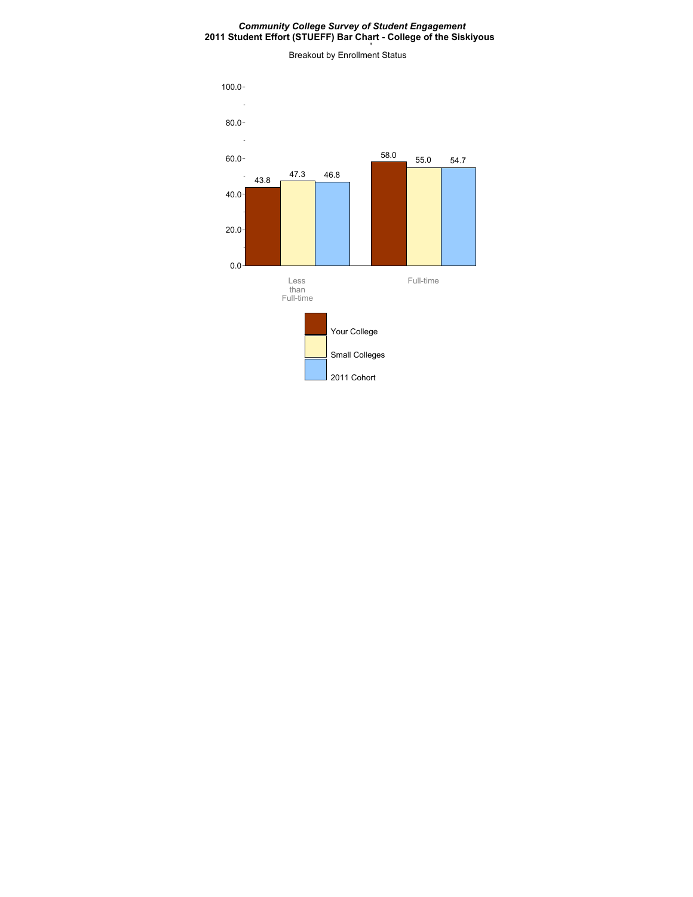#### *Community College Survey of Student Engagement* **2011 Student Effort (STUEFF) Bar Chart - College of the Siskiyous**

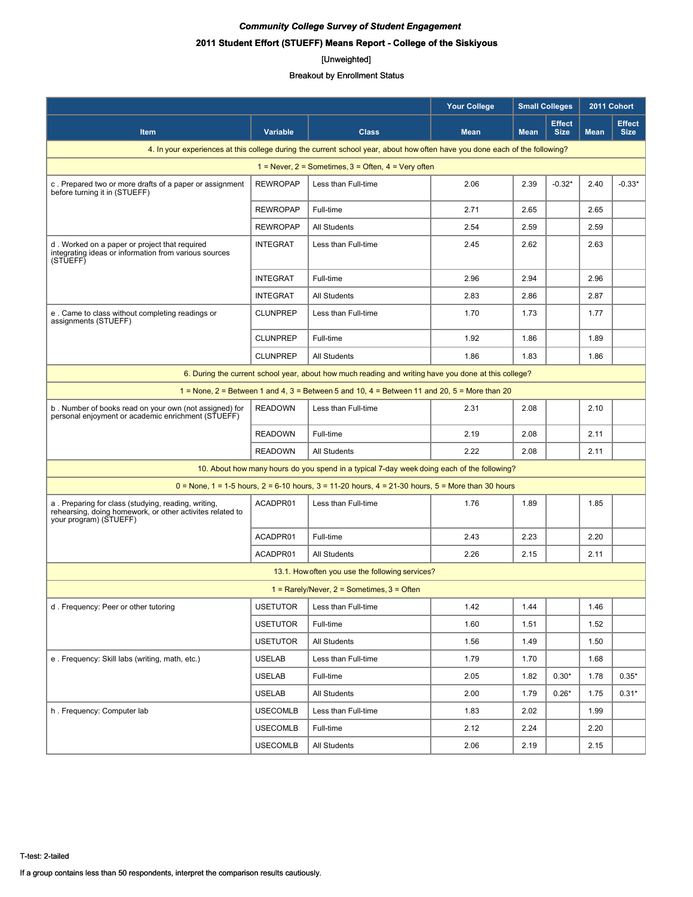# *Community College Survey of Student Engagement* **2011 Student Effort (STUEFF) Means Report - College of the Siskiyous**

# [Unweighted]

|                                                                                                                                            |                                                                                                      |                                                                                                                             | <b>Your College</b> | <b>Small Colleges</b> |                              | 2011 Cohort |                              |  |  |  |
|--------------------------------------------------------------------------------------------------------------------------------------------|------------------------------------------------------------------------------------------------------|-----------------------------------------------------------------------------------------------------------------------------|---------------------|-----------------------|------------------------------|-------------|------------------------------|--|--|--|
| <b>Item</b>                                                                                                                                | <b>Variable</b>                                                                                      | <b>Class</b>                                                                                                                | <b>Mean</b>         | <b>Mean</b>           | <b>Effect</b><br><b>Size</b> | <b>Mean</b> | <b>Effect</b><br><b>Size</b> |  |  |  |
|                                                                                                                                            |                                                                                                      | 4. In your experiences at this college during the current school year, about how often have you done each of the following? |                     |                       |                              |             |                              |  |  |  |
|                                                                                                                                            |                                                                                                      | 1 = Never, $2$ = Sometimes, $3$ = Often, $4$ = Very often                                                                   |                     |                       |                              |             |                              |  |  |  |
| c. Prepared two or more drafts of a paper or assignment<br>before turning it in (STUEFF)                                                   | <b>REWROPAP</b>                                                                                      | Less than Full-time                                                                                                         | 2.06                | 2.39                  | $-0.32*$                     | 2.40        | $-0.33*$                     |  |  |  |
|                                                                                                                                            | <b>REWROPAP</b>                                                                                      | Full-time                                                                                                                   | 2.71                | 2.65                  |                              | 2.65        |                              |  |  |  |
|                                                                                                                                            | <b>REWROPAP</b>                                                                                      | <b>All Students</b>                                                                                                         | 2.54                | 2.59                  |                              | 2.59        |                              |  |  |  |
| d. Worked on a paper or project that required<br>integrating ideas or information from various sources<br>(STUEFF)                         | <b>INTEGRAT</b>                                                                                      | Less than Full-time                                                                                                         | 2.45                | 2.62                  |                              | 2.63        |                              |  |  |  |
|                                                                                                                                            | <b>INTEGRAT</b>                                                                                      | Full-time                                                                                                                   | 2.96                | 2.94                  |                              | 2.96        |                              |  |  |  |
|                                                                                                                                            | <b>INTEGRAT</b>                                                                                      | <b>All Students</b>                                                                                                         | 2.83                | 2.86                  |                              | 2.87        |                              |  |  |  |
| e. Came to class without completing readings or<br>assignments (STUEFF)                                                                    | <b>CLUNPREP</b>                                                                                      | Less than Full-time                                                                                                         | 1.70                | 1.73                  |                              | 1.77        |                              |  |  |  |
|                                                                                                                                            | <b>CLUNPREP</b>                                                                                      | Full-time                                                                                                                   | 1.92                | 1.86                  |                              | 1.89        |                              |  |  |  |
|                                                                                                                                            | <b>CLUNPREP</b>                                                                                      | <b>All Students</b>                                                                                                         | 1.86                | 1.83                  |                              | 1.86        |                              |  |  |  |
|                                                                                                                                            | 6. During the current school year, about how much reading and writing have you done at this college? |                                                                                                                             |                     |                       |                              |             |                              |  |  |  |
|                                                                                                                                            |                                                                                                      | 1 = None, 2 = Between 1 and 4, 3 = Between 5 and 10, 4 = Between 11 and 20, 5 = More than 20                                |                     |                       |                              |             |                              |  |  |  |
| b. Number of books read on your own (not assigned) for<br>personal enjoyment or academic enrichment (STUEFF)                               | <b>READOWN</b>                                                                                       | Less than Full-time                                                                                                         | 2.31                | 2.08                  |                              | 2.10        |                              |  |  |  |
|                                                                                                                                            | <b>READOWN</b>                                                                                       | Full-time                                                                                                                   | 2.19                | 2.08                  |                              | 2.11        |                              |  |  |  |
|                                                                                                                                            | <b>READOWN</b>                                                                                       | <b>All Students</b>                                                                                                         | 2.22                | 2.08                  |                              | 2.11        |                              |  |  |  |
|                                                                                                                                            |                                                                                                      | 10. About how many hours do you spend in a typical 7-day week doing each of the following?                                  |                     |                       |                              |             |                              |  |  |  |
|                                                                                                                                            |                                                                                                      | $0 =$ None, 1 = 1-5 hours, 2 = 6-10 hours, 3 = 11-20 hours, 4 = 21-30 hours, 5 = More than 30 hours                         |                     |                       |                              |             |                              |  |  |  |
| a. Preparing for class (studying, reading, writing,<br>rehearsing, doing homework, or other activites related to<br>your program) (STUEFF) | ACADPR01                                                                                             | Less than Full-time                                                                                                         | 1.76                | 1.89                  |                              | 1.85        |                              |  |  |  |
|                                                                                                                                            | ACADPR01                                                                                             | Full-time                                                                                                                   | 2.43                | 2.23                  |                              | 2.20        |                              |  |  |  |
|                                                                                                                                            | ACADPR01                                                                                             | <b>All Students</b>                                                                                                         | 2.26                | 2.15                  |                              | 2.11        |                              |  |  |  |
|                                                                                                                                            |                                                                                                      | 13.1. How often you use the following services?                                                                             |                     |                       |                              |             |                              |  |  |  |
|                                                                                                                                            |                                                                                                      | $1 =$ Rarely/Never, $2 =$ Sometimes, $3 =$ Often                                                                            |                     |                       |                              |             |                              |  |  |  |
| d. Frequency: Peer or other tutoring                                                                                                       | <b>USETUTOR</b>                                                                                      | Less than Full-time                                                                                                         | 1.42                | 1.44                  |                              | 1.46        |                              |  |  |  |
|                                                                                                                                            | <b>USETUTOR</b>                                                                                      | Full-time                                                                                                                   | 1.60                | 1.51                  |                              | 1.52        |                              |  |  |  |
|                                                                                                                                            | <b>USETUTOR</b>                                                                                      | All Students                                                                                                                | 1.56                | 1.49                  |                              | 1.50        |                              |  |  |  |
| e. Frequency: Skill labs (writing, math, etc.)                                                                                             | <b>USELAB</b>                                                                                        | Less than Full-time                                                                                                         | 1.79                | 1.70                  |                              | 1.68        |                              |  |  |  |
|                                                                                                                                            | <b>USELAB</b>                                                                                        | Full-time                                                                                                                   | 2.05                | 1.82                  | $0.30*$                      | 1.78        | $0.35*$                      |  |  |  |
|                                                                                                                                            | <b>USELAB</b>                                                                                        | All Students                                                                                                                | 2.00                | 1.79                  | $0.26*$                      | 1.75        | $0.31*$                      |  |  |  |
| h. Frequency: Computer lab                                                                                                                 | <b>USECOMLB</b>                                                                                      | Less than Full-time                                                                                                         | 1.83                | 2.02                  |                              | 1.99        |                              |  |  |  |
|                                                                                                                                            | <b>USECOMLB</b>                                                                                      | Full-time                                                                                                                   | 2.12                | 2.24                  |                              | 2.20        |                              |  |  |  |
|                                                                                                                                            | <b>USECOMLB</b>                                                                                      | All Students                                                                                                                | 2.06                | 2.19                  |                              | 2.15        |                              |  |  |  |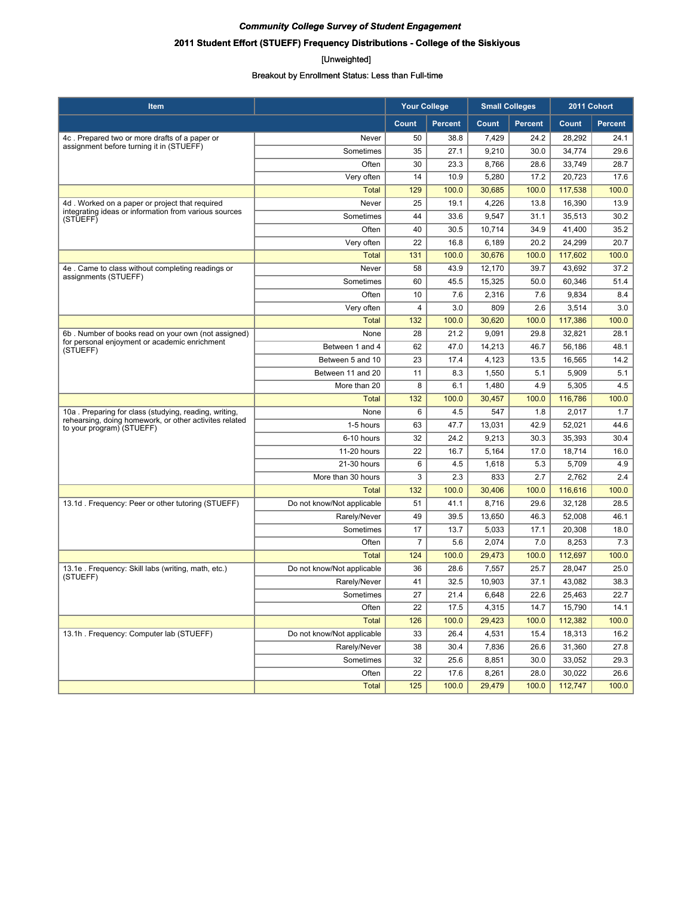# **2011 Student Effort (STUEFF) Frequency Distributions - College of the Siskiyous**

#### [Unweighted]

| <b>Item</b>                                                                         |                            | <b>Your College</b> |                | <b>Small Colleges</b> |                | 2011 Cohort |                |
|-------------------------------------------------------------------------------------|----------------------------|---------------------|----------------|-----------------------|----------------|-------------|----------------|
|                                                                                     |                            | Count               | <b>Percent</b> | Count                 | <b>Percent</b> | Count       | <b>Percent</b> |
| 4c. Prepared two or more drafts of a paper or                                       | Never                      | 50                  | 38.8           | 7,429                 | 24.2           | 28,292      | 24.1           |
| assignment before turning it in (STUEFF)                                            | Sometimes                  | 35                  | 27.1           | 9,210                 | 30.0           | 34,774      | 29.6           |
|                                                                                     | Often                      | 30                  | 23.3           | 8,766                 | 28.6           | 33,749      | 28.7           |
|                                                                                     | Very often                 | 14                  | 10.9           | 5,280                 | 17.2           | 20,723      | 17.6           |
|                                                                                     | <b>Total</b>               | 129                 | 100.0          | 30,685                | 100.0          | 117,538     | 100.0          |
| 4d. Worked on a paper or project that required                                      | Never                      | 25                  | 19.1           | 4,226                 | 13.8           | 16,390      | 13.9           |
| integrating ideas or information from various sources<br>(STUEFF)                   | Sometimes                  | 44                  | 33.6           | 9,547                 | 31.1           | 35,513      | 30.2           |
|                                                                                     | Often                      | 40                  | 30.5           | 10,714                | 34.9           | 41,400      | 35.2           |
|                                                                                     | Very often                 | 22                  | 16.8           | 6,189                 | 20.2           | 24,299      | 20.7           |
|                                                                                     | <b>Total</b>               | 131                 | 100.0          | 30,676                | 100.0          | 117,602     | 100.0          |
| 4e. Came to class without completing readings or                                    | Never                      | 58                  | 43.9           | 12,170                | 39.7           | 43,692      | 37.2           |
| assignments (STUEFF)                                                                | Sometimes                  | 60                  | 45.5           | 15,325                | 50.0           | 60,346      | 51.4           |
|                                                                                     | Often                      | 10                  | 7.6            | 2,316                 | 7.6            | 9,834       | 8.4            |
|                                                                                     | Very often                 | 4                   | 3.0            | 809                   | 2.6            | 3,514       | 3.0            |
|                                                                                     | <b>Total</b>               | 132                 | 100.0          | 30,620                | 100.0          | 117,386     | 100.0          |
| 6b. Number of books read on your own (not assigned)                                 | None                       | 28                  | 21.2           | 9,091                 | 29.8           | 32,821      | 28.1           |
| for personal enjoyment or academic enrichment<br>(STUEFF)                           | Between 1 and 4            | 62                  | 47.0           | 14,213                | 46.7           | 56,186      | 48.1           |
|                                                                                     | Between 5 and 10           | 23                  | 17.4           | 4,123                 | 13.5           | 16,565      | 14.2           |
|                                                                                     | Between 11 and 20          | 11                  | 8.3            | 1,550                 | 5.1            | 5,909       | 5.1            |
|                                                                                     | More than 20               | 8                   | 6.1            | 1,480                 | 4.9            | 5,305       | 4.5            |
|                                                                                     | Total                      | 132                 | 100.0          | 30,457                | 100.0          | 116,786     | 100.0          |
| 10a. Preparing for class (studying, reading, writing,                               | None                       | 6                   | 4.5            | 547                   | 1.8            | 2,017       | 1.7            |
| rehearsing, doing homework, or other activites related<br>to your program) (STUEFF) | 1-5 hours                  | 63                  | 47.7           | 13,031                | 42.9           | 52,021      | 44.6           |
|                                                                                     | 6-10 hours                 | 32                  | 24.2           | 9,213                 | 30.3           | 35,393      | 30.4           |
|                                                                                     | 11-20 hours                | 22                  | 16.7           | 5,164                 | 17.0           | 18,714      | 16.0           |
|                                                                                     | 21-30 hours                | 6                   | 4.5            | 1,618                 | 5.3            | 5,709       | 4.9            |
|                                                                                     | More than 30 hours         | 3                   | 2.3            | 833                   | 2.7            | 2,762       | 2.4            |
|                                                                                     | <b>Total</b>               | 132                 | 100.0          | 30,406                | 100.0          | 116,616     | 100.0          |
| 13.1d. Frequency: Peer or other tutoring (STUEFF)                                   | Do not know/Not applicable | 51                  | 41.1           | 8,716                 | 29.6           | 32,128      | 28.5           |
|                                                                                     | Rarely/Never               | 49                  | 39.5           | 13,650                | 46.3           | 52,008      | 46.1           |
|                                                                                     | Sometimes                  | 17                  | 13.7           | 5,033                 | 17.1           | 20,308      | 18.0           |
|                                                                                     | Often                      | $\overline{7}$      | 5.6            | 2,074                 | 7.0            | 8,253       | 7.3            |
|                                                                                     | <b>Total</b>               | 124                 | 100.0          | 29,473                | 100.0          | 112,697     | 100.0          |
| 13.1e. Frequency: Skill labs (writing, math, etc.)                                  | Do not know/Not applicable | 36                  | 28.6           | 7,557                 | 25.7           | 28,047      | 25.0           |
| (STUEFF)                                                                            | Rarely/Never               | 41                  | 32.5           | 10,903                | 37.1           | 43,082      | 38.3           |
|                                                                                     | Sometimes                  | 27                  | 21.4           | 6,648                 | 22.6           | 25.463      | 22.7           |
|                                                                                     | Often                      | 22                  | 17.5           | 4,315                 | 14.7           | 15,790      | 14.1           |
|                                                                                     | <b>Total</b>               | 126                 | 100.0          | 29,423                | 100.0          | 112,382     | 100.0          |
| 13.1h. Frequency: Computer lab (STUEFF)                                             | Do not know/Not applicable | 33                  | 26.4           | 4,531                 | 15.4           | 18,313      | 16.2           |
|                                                                                     | Rarely/Never               | 38                  | 30.4           | 7,836                 | 26.6           | 31,360      | 27.8           |
|                                                                                     | Sometimes                  | 32                  | 25.6           | 8,851                 | 30.0           | 33,052      | 29.3           |
|                                                                                     | Often                      | 22                  | 17.6           | 8,261                 | 28.0           | 30,022      | 26.6           |
|                                                                                     | Total                      | 125                 | 100.0          | 29,479                | 100.0          | 112,747     | 100.0          |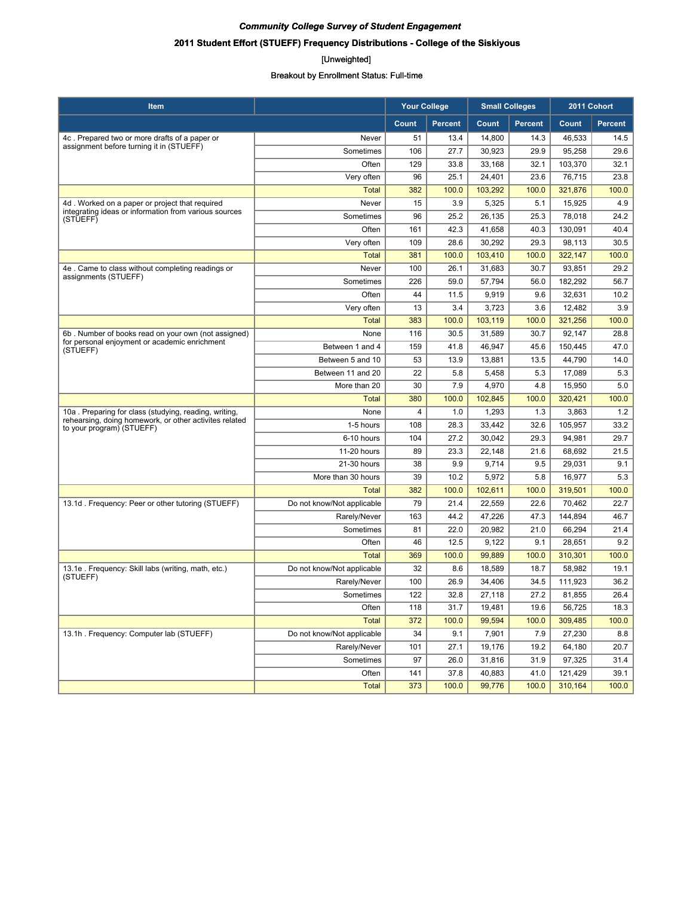# **2011 Student Effort (STUEFF) Frequency Distributions - College of the Siskiyous**

#### [Unweighted]

| Item                                                                                |                            | <b>Your College</b> |                |         | <b>Small Colleges</b> | 2011 Cohort |                |
|-------------------------------------------------------------------------------------|----------------------------|---------------------|----------------|---------|-----------------------|-------------|----------------|
|                                                                                     |                            | Count               | <b>Percent</b> | Count   | <b>Percent</b>        | Count       | <b>Percent</b> |
| 4c. Prepared two or more drafts of a paper or                                       | Never                      | 51                  | 13.4           | 14,800  | 14.3                  | 46,533      | 14.5           |
| assignment before turning it in (STUEFF)                                            | Sometimes                  | 106                 | 27.7           | 30,923  | 29.9                  | 95,258      | 29.6           |
|                                                                                     | Often                      | 129                 | 33.8           | 33,168  | 32.1                  | 103,370     | 32.1           |
|                                                                                     | Very often                 | 96                  | 25.1           | 24,401  | 23.6                  | 76,715      | 23.8           |
|                                                                                     | <b>Total</b>               | 382                 | 100.0          | 103,292 | 100.0                 | 321,876     | 100.0          |
| 4d. Worked on a paper or project that required                                      | Never                      | 15                  | 3.9            | 5,325   | 5.1                   | 15,925      | 4.9            |
| integrating ideas or information from various sources<br>(STUEFF)                   | Sometimes                  | 96                  | 25.2           | 26.135  | 25.3                  | 78,018      | 24.2           |
|                                                                                     | Often                      | 161                 | 42.3           | 41.658  | 40.3                  | 130.091     | 40.4           |
|                                                                                     | Very often                 | 109                 | 28.6           | 30,292  | 29.3                  | 98,113      | 30.5           |
|                                                                                     | <b>Total</b>               | 381                 | 100.0          | 103,410 | 100.0                 | 322,147     | 100.0          |
| 4e. Came to class without completing readings or                                    | Never                      | 100                 | 26.1           | 31,683  | 30.7                  | 93,851      | 29.2           |
| assignments (STUEFF)                                                                | Sometimes                  | 226                 | 59.0           | 57,794  | 56.0                  | 182,292     | 56.7           |
|                                                                                     | Often                      | 44                  | 11.5           | 9,919   | 9.6                   | 32,631      | 10.2           |
|                                                                                     | Very often                 | 13                  | 3.4            | 3,723   | 3.6                   | 12,482      | 3.9            |
|                                                                                     | <b>Total</b>               | 383                 | 100.0          | 103,119 | 100.0                 | 321,256     | 100.0          |
| 6b. Number of books read on your own (not assigned)                                 | None                       | 116                 | 30.5           | 31,589  | 30.7                  | 92,147      | 28.8           |
| for personal enjoyment or academic enrichment<br>(STUEFF)                           | Between 1 and 4            | 159                 | 41.8           | 46.947  | 45.6                  | 150.445     | 47.0           |
|                                                                                     | Between 5 and 10           | 53                  | 13.9           | 13,881  | 13.5                  | 44,790      | 14.0           |
|                                                                                     | Between 11 and 20          | 22                  | 5.8            | 5,458   | 5.3                   | 17,089      | 5.3            |
|                                                                                     | More than 20               | 30                  | 7.9            | 4,970   | 4.8                   | 15,950      | 5.0            |
|                                                                                     | Total                      | 380                 | 100.0          | 102,845 | 100.0                 | 320,421     | 100.0          |
| 10a. Preparing for class (studying, reading, writing,                               | None                       | 4                   | 1.0            | 1,293   | 1.3                   | 3,863       | 1.2            |
| rehearsing, doing homework, or other activites related<br>to your program) (STUEFF) | 1-5 hours                  | 108                 | 28.3           | 33,442  | 32.6                  | 105,957     | 33.2           |
|                                                                                     | 6-10 hours                 | 104                 | 27.2           | 30,042  | 29.3                  | 94,981      | 29.7           |
|                                                                                     | 11-20 hours                | 89                  | 23.3           | 22,148  | 21.6                  | 68,692      | 21.5           |
|                                                                                     | 21-30 hours                | 38                  | 9.9            | 9,714   | 9.5                   | 29,031      | 9.1            |
|                                                                                     | More than 30 hours         | 39                  | 10.2           | 5,972   | 5.8                   | 16,977      | 5.3            |
|                                                                                     | Total                      | 382                 | 100.0          | 102,611 | 100.0                 | 319,501     | 100.0          |
| 13.1d. Frequency: Peer or other tutoring (STUEFF)                                   | Do not know/Not applicable | 79                  | 21.4           | 22,559  | 22.6                  | 70,462      | 22.7           |
|                                                                                     | Rarely/Never               | 163                 | 44.2           | 47,226  | 47.3                  | 144,894     | 46.7           |
|                                                                                     | Sometimes                  | 81                  | 22.0           | 20,982  | 21.0                  | 66,294      | 21.4           |
|                                                                                     | Often                      | 46                  | 12.5           | 9,122   | 9.1                   | 28,651      | 9.2            |
|                                                                                     | <b>Total</b>               | 369                 | 100.0          | 99,889  | 100.0                 | 310,301     | 100.0          |
| 13.1e. Frequency: Skill labs (writing, math, etc.)                                  | Do not know/Not applicable | 32                  | 8.6            | 18,589  | 18.7                  | 58,982      | 19.1           |
| (STUEFF)                                                                            | Rarely/Never               | 100                 | 26.9           | 34,406  | 34.5                  | 111,923     | 36.2           |
|                                                                                     | Sometimes                  | 122                 | 32.8           | 27,118  | 27.2                  | 81,855      | 26.4           |
|                                                                                     | Often                      | 118                 | 31.7           | 19,481  | 19.6                  | 56,725      | 18.3           |
|                                                                                     | <b>Total</b>               | 372                 | 100.0          | 99,594  | 100.0                 | 309,485     | 100.0          |
| 13.1h. Frequency: Computer lab (STUEFF)                                             | Do not know/Not applicable | 34                  | 9.1            | 7,901   | 7.9                   | 27,230      | 8.8            |
|                                                                                     | Rarely/Never               | 101                 | 27.1           | 19,176  | 19.2                  | 64,180      | 20.7           |
|                                                                                     | Sometimes                  | 97                  | 26.0           | 31,816  | 31.9                  | 97,325      | 31.4           |
|                                                                                     | Often                      | 141                 | 37.8           | 40,883  | 41.0                  | 121,429     | 39.1           |
|                                                                                     | Total                      | 373                 | 100.0          | 99,776  | 100.0                 | 310,164     | 100.0          |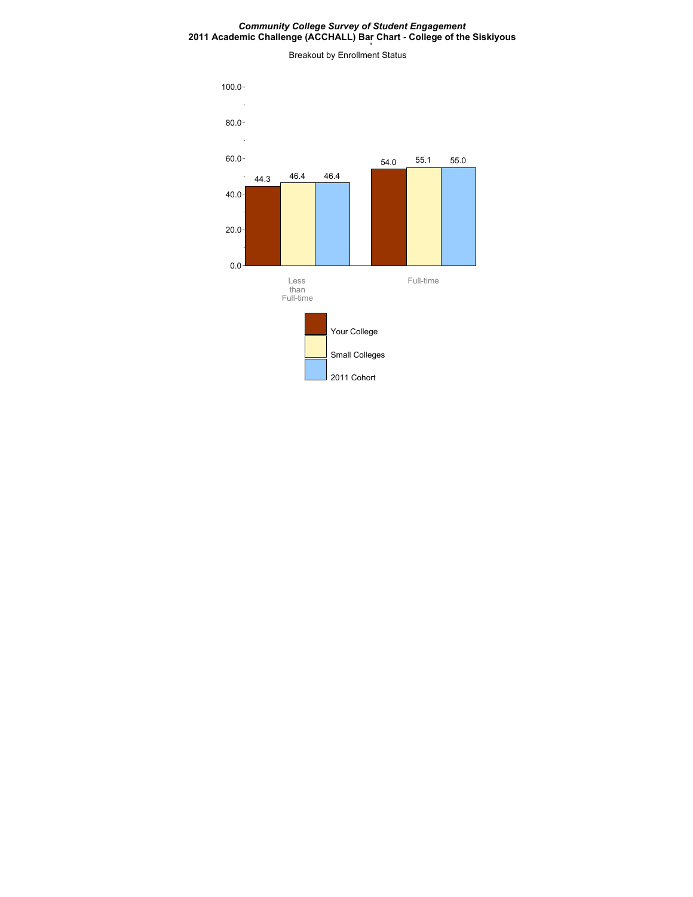#### *Community College Survey of Student Engagement* **2011 Academic Challenge (ACCHALL) Bar Chart - College of the Siskiyous**

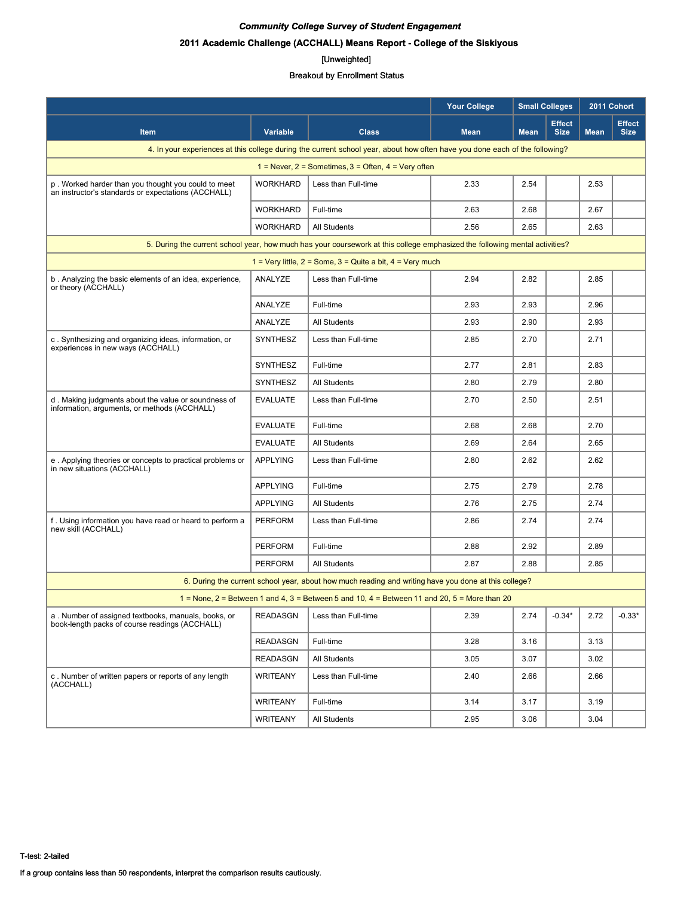# **2011 Academic Challenge (ACCHALL) Means Report - College of the Siskiyous**

#### [Unweighted]

|                                                                                                            |                 |                                                                                                                             | <b>Your College</b> |             | <b>Small Colleges</b>        | 2011 Cohort |                              |
|------------------------------------------------------------------------------------------------------------|-----------------|-----------------------------------------------------------------------------------------------------------------------------|---------------------|-------------|------------------------------|-------------|------------------------------|
| <b>Item</b>                                                                                                | <b>Variable</b> | <b>Class</b>                                                                                                                | <b>Mean</b>         | <b>Mean</b> | <b>Effect</b><br><b>Size</b> | <b>Mean</b> | <b>Effect</b><br><b>Size</b> |
|                                                                                                            |                 | 4. In your experiences at this college during the current school year, about how often have you done each of the following? |                     |             |                              |             |                              |
|                                                                                                            |                 | 1 = Never, $2$ = Sometimes, $3$ = Often, $4$ = Very often                                                                   |                     |             |                              |             |                              |
| p. Worked harder than you thought you could to meet<br>an instructor's standards or expectations (ACCHALL) | <b>WORKHARD</b> | Less than Full-time                                                                                                         | 2.33                | 2.54        |                              | 2.53        |                              |
|                                                                                                            | <b>WORKHARD</b> | Full-time                                                                                                                   | 2.63                | 2.68        |                              | 2.67        |                              |
|                                                                                                            | <b>WORKHARD</b> | <b>All Students</b>                                                                                                         | 2.56                | 2.65        |                              | 2.63        |                              |
|                                                                                                            |                 | 5. During the current school year, how much has your coursework at this college emphasized the following mental activities? |                     |             |                              |             |                              |
|                                                                                                            |                 | 1 = Very little, $2 =$ Some, $3 =$ Quite a bit, $4 =$ Very much                                                             |                     |             |                              |             |                              |
| b. Analyzing the basic elements of an idea, experience,<br>or theory (ACCHALL)                             | ANALYZE         | Less than Full-time                                                                                                         | 2.94                | 2.82        |                              | 2.85        |                              |
|                                                                                                            | ANALYZE         | Full-time                                                                                                                   | 2.93                | 2.93        |                              | 2.96        |                              |
|                                                                                                            | ANALYZE         | <b>All Students</b>                                                                                                         | 2.93                | 2.90        |                              | 2.93        |                              |
| c. Synthesizing and organizing ideas, information, or<br>experiences in new ways (ACCHALL)                 | <b>SYNTHESZ</b> | Less than Full-time                                                                                                         | 2.85                | 2.70        |                              | 2.71        |                              |
|                                                                                                            | SYNTHESZ        | Full-time                                                                                                                   | 2.77                | 2.81        |                              | 2.83        |                              |
|                                                                                                            | <b>SYNTHESZ</b> | <b>All Students</b>                                                                                                         | 2.80                | 2.79        |                              | 2.80        |                              |
| d. Making judgments about the value or soundness of<br>information, arguments, or methods (ACCHALL)        | <b>EVALUATE</b> | Less than Full-time                                                                                                         | 2.70                | 2.50        |                              | 2.51        |                              |
|                                                                                                            | <b>EVALUATE</b> | Full-time                                                                                                                   | 2.68                | 2.68        |                              | 2.70        |                              |
|                                                                                                            | <b>EVALUATE</b> | <b>All Students</b>                                                                                                         | 2.69                | 2.64        |                              | 2.65        |                              |
| e. Applying theories or concepts to practical problems or<br>in new situations (ACCHALL)                   | <b>APPLYING</b> | Less than Full-time                                                                                                         | 2.80                | 2.62        |                              | 2.62        |                              |
|                                                                                                            | <b>APPLYING</b> | Full-time                                                                                                                   | 2.75                | 2.79        |                              | 2.78        |                              |
|                                                                                                            | <b>APPLYING</b> | <b>All Students</b>                                                                                                         | 2.76                | 2.75        |                              | 2.74        |                              |
| f. Using information you have read or heard to perform a<br>new skill (ACCHALL)                            | <b>PERFORM</b>  | Less than Full-time                                                                                                         | 2.86                | 2.74        |                              | 2.74        |                              |
|                                                                                                            | <b>PERFORM</b>  | Full-time                                                                                                                   | 2.88                | 2.92        |                              | 2.89        |                              |
|                                                                                                            | <b>PERFORM</b>  | All Students                                                                                                                | 2.87                | 2.88        |                              | 2.85        |                              |
|                                                                                                            |                 | 6. During the current school year, about how much reading and writing have you done at this college?                        |                     |             |                              |             |                              |
|                                                                                                            |                 | 1 = None, 2 = Between 1 and 4, 3 = Between 5 and 10, 4 = Between 11 and 20, 5 = More than 20                                |                     |             |                              |             |                              |
| a. Number of assigned textbooks, manuals, books, or<br>book-length packs of course readings (ACCHALL)      | <b>READASGN</b> | Less than Full-time                                                                                                         | 2.39                | 2.74        | $-0.34*$                     | 2.72        | $-0.33*$                     |
|                                                                                                            | <b>READASGN</b> | Full-time                                                                                                                   | 3.28                | 3.16        |                              | 3.13        |                              |
|                                                                                                            | <b>READASGN</b> | <b>All Students</b>                                                                                                         | 3.05                | 3.07        |                              | 3.02        |                              |
| c. Number of written papers or reports of any length<br>(ACCHALL)                                          | <b>WRITEANY</b> | Less than Full-time                                                                                                         | 2.40                | 2.66        |                              | 2.66        |                              |
|                                                                                                            | <b>WRITEANY</b> | Full-time                                                                                                                   | 3.14                | 3.17        |                              | 3.19        |                              |
|                                                                                                            | <b>WRITEANY</b> | All Students                                                                                                                | 2.95                | 3.06        |                              | 3.04        |                              |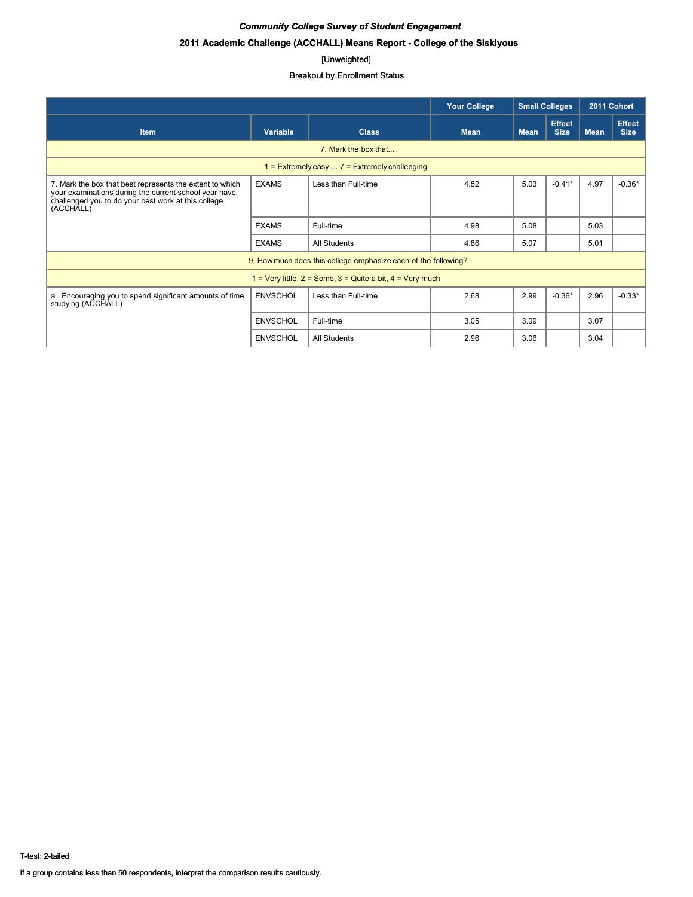# **2011 Academic Challenge (ACCHALL) Means Report - College of the Siskiyous**

#### [Unweighted]

|                                                                                                                                                                                       |                 |                                                                 | <b>Small Colleges</b><br><b>Your College</b> |             |                              | 2011 Cohort |                              |  |  |  |  |
|---------------------------------------------------------------------------------------------------------------------------------------------------------------------------------------|-----------------|-----------------------------------------------------------------|----------------------------------------------|-------------|------------------------------|-------------|------------------------------|--|--|--|--|
| <b>Item</b>                                                                                                                                                                           | <b>Variable</b> | <b>Class</b>                                                    | <b>Mean</b>                                  | <b>Mean</b> | <b>Effect</b><br><b>Size</b> | <b>Mean</b> | <b>Effect</b><br><b>Size</b> |  |  |  |  |
| 7. Mark the box that                                                                                                                                                                  |                 |                                                                 |                                              |             |                              |             |                              |  |  |  |  |
| 1 = Extremely easy $\dots$ 7 = Extremely challenging                                                                                                                                  |                 |                                                                 |                                              |             |                              |             |                              |  |  |  |  |
| 7. Mark the box that best represents the extent to which<br>your examinations during the current school year have<br>challenged you to do your best work at this college<br>(ACCHALL) | <b>EXAMS</b>    | Less than Full-time                                             | 4.52                                         | 5.03        | $-0.41*$                     | 4.97        | $-0.36*$                     |  |  |  |  |
|                                                                                                                                                                                       | <b>EXAMS</b>    | Full-time                                                       | 4.98                                         | 5.08        |                              | 5.03        |                              |  |  |  |  |
|                                                                                                                                                                                       | <b>EXAMS</b>    | All Students                                                    | 4.86                                         | 5.07        |                              | 5.01        |                              |  |  |  |  |
|                                                                                                                                                                                       |                 | 9. How much does this college emphasize each of the following?  |                                              |             |                              |             |                              |  |  |  |  |
|                                                                                                                                                                                       |                 | 1 = Very little, $2 =$ Some, $3 =$ Quite a bit, $4 =$ Very much |                                              |             |                              |             |                              |  |  |  |  |
| a. Encouraging you to spend significant amounts of time<br>studying (ACCHALL)                                                                                                         | <b>ENVSCHOL</b> | Less than Full-time                                             | 2.68                                         | 2.99        | $-0.36*$                     | 2.96        | $-0.33*$                     |  |  |  |  |
|                                                                                                                                                                                       | <b>ENVSCHOL</b> | Full-time                                                       | 3.05                                         | 3.09        |                              | 3.07        |                              |  |  |  |  |
|                                                                                                                                                                                       | <b>ENVSCHOL</b> | All Students                                                    | 2.96                                         | 3.06        |                              | 3.04        |                              |  |  |  |  |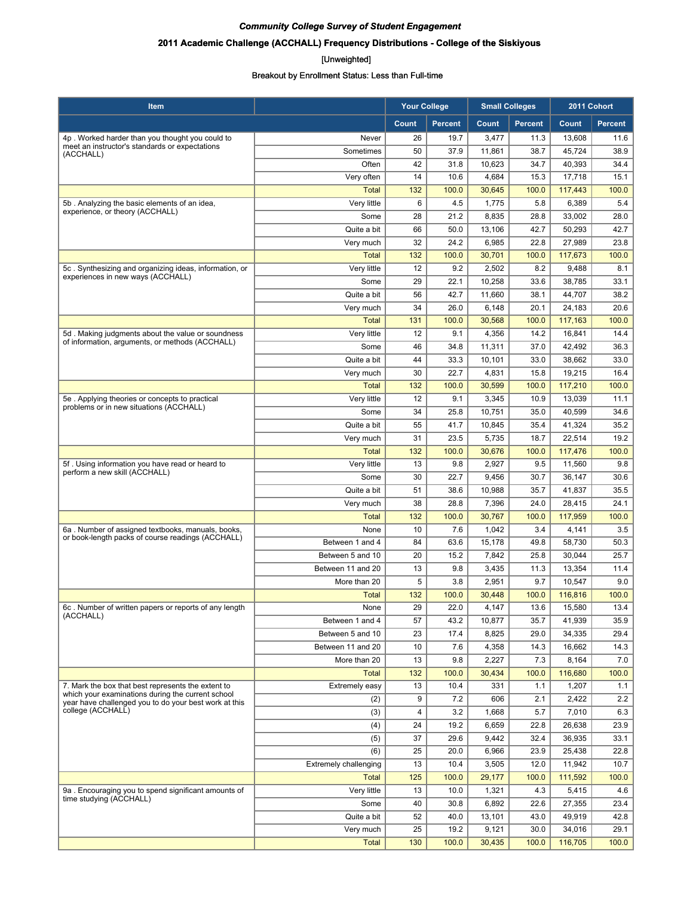# **2011 Academic Challenge (ACCHALL) Frequency Distributions - College of the Siskiyous**

#### [Unweighted]

| Item                                                                                                    |                              | <b>Your College</b> |                | <b>Small Colleges</b> |                | 2011 Cohort       |                |
|---------------------------------------------------------------------------------------------------------|------------------------------|---------------------|----------------|-----------------------|----------------|-------------------|----------------|
|                                                                                                         |                              | Count               | <b>Percent</b> | Count                 | <b>Percent</b> | Count             | <b>Percent</b> |
| 4p. Worked harder than you thought you could to                                                         | Never                        | 26                  | 19.7           | 3,477                 | 11.3           | 13,608            | 11.6           |
| meet an instructor's standards or expectations<br>(ACCHALL)                                             | Sometimes                    | 50                  | 37.9           | 11,861                | 38.7           | 45,724            | 38.9           |
|                                                                                                         | Often                        | 42                  | 31.8           | 10,623                | 34.7           | 40,393            | 34.4           |
|                                                                                                         | Very often                   | 14                  | 10.6           | 4,684                 | 15.3           | 17,718            | 15.1           |
|                                                                                                         | <b>Total</b>                 | 132                 | 100.0          | 30,645                | 100.0          | 117,443           | 100.0          |
| 5b. Analyzing the basic elements of an idea,                                                            | Very little                  | 6                   | 4.5            | 1,775                 | 5.8            | 6,389             | 5.4            |
| experience, or theory (ACCHALL)                                                                         | Some                         | 28                  | 21.2           | 8,835                 | 28.8           | 33,002            | 28.0           |
|                                                                                                         | Quite a bit                  | 66                  | 50.0           | 13,106                | 42.7           | 50,293            | 42.7           |
|                                                                                                         | Very much                    | 32                  | 24.2           | 6,985                 | 22.8           | 27,989            | 23.8           |
|                                                                                                         | <b>Total</b>                 | 132                 | 100.0          | 30,701                | 100.0          | 117,673           | 100.0          |
| 5c. Synthesizing and organizing ideas, information, or<br>experiences in new ways (ACCHALL)             | Very little                  | 12                  | 9.2            | 2,502                 | 8.2            | 9,488             | 8.1            |
|                                                                                                         | Some                         | 29                  | 22.1           | 10,258                | 33.6           | 38,785            | 33.1           |
|                                                                                                         | Quite a bit                  | 56                  | 42.7           | 11,660                | 38.1           | 44,707            | 38.2           |
|                                                                                                         | Very much                    | 34                  | 26.0           | 6,148                 | 20.1           | 24,183            | 20.6           |
|                                                                                                         | <b>Total</b>                 | 131                 | 100.0          | 30,568                | 100.0          | 117,163           | 100.0          |
| 5d. Making judgments about the value or soundness<br>of information, arguments, or methods (ACCHALL)    | Very little                  | 12                  | 9.1            | 4,356                 | 14.2           | 16,841            | 14.4           |
|                                                                                                         | Some                         | 46                  | 34.8           | 11,311                | 37.0           | 42,492            | 36.3           |
|                                                                                                         | Quite a bit<br>Very much     | 44<br>30            | 33.3<br>22.7   | 10,101                | 33.0<br>15.8   | 38,662            | 33.0           |
|                                                                                                         | <b>Total</b>                 | 132                 | 100.0          | 4,831<br>30,599       | 100.0          | 19,215<br>117,210 | 16.4<br>100.0  |
| 5e. Applying theories or concepts to practical                                                          | Very little                  | 12                  | 9.1            | 3,345                 | 10.9           | 13,039            | 11.1           |
| problems or in new situations (ACCHALL)                                                                 | Some                         | 34                  | 25.8           | 10,751                | 35.0           | 40,599            | 34.6           |
|                                                                                                         | Quite a bit                  | 55                  | 41.7           | 10,845                | 35.4           | 41,324            | 35.2           |
|                                                                                                         | Very much                    | 31                  | 23.5           | 5,735                 | 18.7           | 22,514            | 19.2           |
|                                                                                                         | <b>Total</b>                 | 132                 | 100.0          | 30,676                | 100.0          | 117,476           | 100.0          |
| 5f. Using information you have read or heard to                                                         | Very little                  | 13                  | 9.8            | 2,927                 | 9.5            | 11,560            | 9.8            |
| perform a new skill (ACCHALL)                                                                           | Some                         | 30                  | 22.7           | 9,456                 | 30.7           | 36,147            | 30.6           |
|                                                                                                         | Quite a bit                  | 51                  | 38.6           | 10,988                | 35.7           | 41,837            | 35.5           |
|                                                                                                         | Very much                    | 38                  | 28.8           | 7,396                 | 24.0           | 28,415            | 24.1           |
|                                                                                                         | <b>Total</b>                 | 132                 | 100.0          | 30,767                | 100.0          | 117,959           | 100.0          |
| 6a. Number of assigned textbooks, manuals, books,                                                       | None                         | 10                  | 7.6            | 1,042                 | 3.4            | 4,141             | 3.5            |
| or book-length packs of course readings (ACCHALL)                                                       | Between 1 and 4              | 84                  | 63.6           | 15,178                | 49.8           | 58,730            | 50.3           |
|                                                                                                         | Between 5 and 10             | 20                  | 15.2           | 7,842                 | 25.8           | 30,044            | 25.7           |
|                                                                                                         | Between 11 and 20            | 13                  | 9.8            | 3,435                 | 11.3           | 13,354            | 11.4           |
|                                                                                                         | More than 20                 | 5                   | 3.8            | 2,951                 | 9.7            | 10,547            | 9.0            |
|                                                                                                         | <b>Total</b>                 | 132                 | 100.0          | 30,448                | 100.0          | 116,816           | 100.0          |
| 6c. Number of written papers or reports of any length                                                   | None                         | 29                  | 22.0           | 4,147                 | 13.6           | 15,580            | 13.4           |
| (ACCHALL)                                                                                               | Between 1 and 4              | 57                  | 43.2           | 10,877                | 35.7           | 41,939            | 35.9           |
|                                                                                                         | Between 5 and 10             | 23                  | 17.4           | 8,825                 | 29.0           | 34,335            | 29.4           |
|                                                                                                         | Between 11 and 20            | 10                  | 7.6            | 4,358                 | 14.3           | 16,662            | 14.3           |
|                                                                                                         | More than 20                 | 13                  | 9.8            | 2,227                 | 7.3            | 8,164             | 7.0            |
|                                                                                                         | <b>Total</b>                 | 132                 | 100.0          | 30,434                | 100.0          | 116,680           | 100.0          |
| 7. Mark the box that best represents the extent to<br>which your examinations during the current school | Extremely easy               | 13                  | 10.4           | 331                   | 1.1            | 1,207             | 1.1            |
| year have challenged you to do your best work at this                                                   | (2)                          | 9                   | 7.2            | 606                   | 2.1            | 2,422             | 2.2            |
| college (ACCHALL)                                                                                       | (3)                          | 4                   | 3.2            | 1,668                 | 5.7            | 7,010             | 6.3            |
|                                                                                                         | (4)                          | 24                  | 19.2           | 6,659                 | 22.8           | 26,638            | 23.9           |
|                                                                                                         | (5)                          | 37                  | 29.6           | 9,442                 | 32.4           | 36,935            | 33.1           |
|                                                                                                         | (6)                          | 25                  | 20.0           | 6,966                 | 23.9           | 25,438            | 22.8           |
|                                                                                                         | <b>Extremely challenging</b> | 13                  | 10.4           | 3,505                 | 12.0           | 11,942            | 10.7           |
|                                                                                                         | <b>Total</b>                 | 125                 | 100.0          | 29,177                | 100.0          | 111,592           | 100.0          |
| 9a. Encouraging you to spend significant amounts of<br>time studying (ACCHALL)                          | Very little<br>Some          | 13<br>40            | 10.0<br>30.8   | 1,321                 | 4.3<br>22.6    | 5,415             | 4.6<br>23.4    |
|                                                                                                         | Quite a bit                  | 52                  | 40.0           | 6,892                 | 43.0           | 27,355<br>49,919  | 42.8           |
|                                                                                                         | Very much                    | 25                  | 19.2           | 13,101<br>9,121       | 30.0           | 34,016            | 29.1           |
|                                                                                                         | <b>Total</b>                 | 130                 | 100.0          | 30,435                | 100.0          | 116,705           | 100.0          |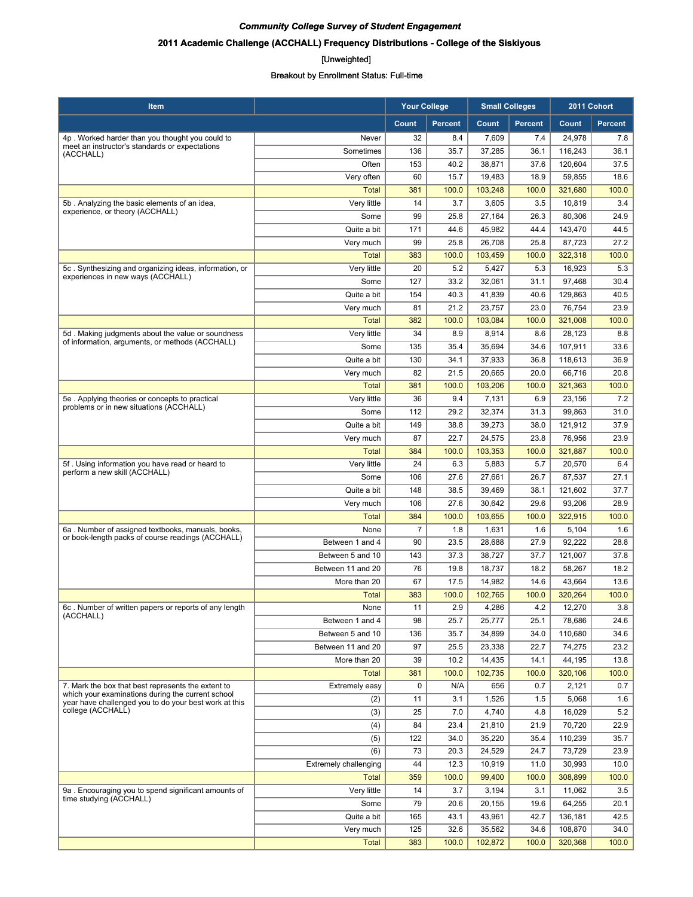# **2011 Academic Challenge (ACCHALL) Frequency Distributions - College of the Siskiyous**

#### [Unweighted]

| Count<br><b>Percent</b><br>Count<br><b>Percent</b><br>Count<br><b>Percent</b><br>32<br>7,609<br>24,978<br>4p. Worked harder than you thought you could to<br>Never<br>8.4<br>7.4<br>7.8<br>meet an instructor's standards or expectations<br>Sometimes<br>136<br>35.7<br>37,285<br>36.1<br>116,243<br>36.1<br>(ACCHALL)<br>153<br>40.2<br>37.6<br>120,604<br>37.5<br>Often<br>38,871<br>60<br>15.7<br>18.9<br>Very often<br>19,483<br>59.855<br>18.6<br>381<br><b>Total</b><br>100.0<br>103,248<br>100.0<br>321,680<br>100.0<br>Very little<br>14<br>3.7<br>3,605<br>3.5<br>10,819<br>5b. Analyzing the basic elements of an idea,<br>3.4<br>experience, or theory (ACCHALL)<br>99<br>25.8<br>27,164<br>26.3<br>80,306<br>Some<br>24.9<br>Quite a bit<br>44.6<br>171<br>45,982<br>44.4<br>143,470<br>44.5<br>27.2<br>Very much<br>99<br>25.8<br>26,708<br>25.8<br>87,723<br>103,459<br>322.318<br><b>Total</b><br>383<br>100.0<br>100.0<br>100.0<br>Very little<br>20<br>5.2<br>5.3<br>5.3<br>5c. Synthesizing and organizing ideas, information, or<br>5,427<br>16,923<br>experiences in new ways (ACCHALL)<br>127<br>33.2<br>Some<br>32,061<br>31.1<br>97,468<br>30.4<br>154<br>40.3<br>41,839<br>40.6<br>129,863<br>40.5<br>Quite a bit<br>21.2<br>23,757<br>Very much<br>81<br>23.0<br>76,754<br>23.9<br><b>Total</b><br>382<br>100.0<br>103,084<br>100.0<br>321,008<br>100.0<br>34<br>8.9<br>8,914<br>5d. Making judgments about the value or soundness<br>Very little<br>8.6<br>28.123<br>8.8<br>of information, arguments, or methods (ACCHALL)<br>Some<br>135<br>35.4<br>35,694<br>34.6<br>107,911<br>33.6<br>130<br>34.1<br>37,933<br>36.8<br>Quite a bit<br>118,613<br>36.9<br>82<br>21.5<br>20,665<br>20.0<br>20.8<br>Very much<br>66,716<br><b>Total</b><br>381<br>100.0<br>103,206<br>100.0<br>321,363<br>100.0<br>36<br>Very little<br>9.4<br>7,131<br>6.9<br>23,156<br>7.2<br>5e. Applying theories or concepts to practical<br>problems or in new situations (ACCHALL)<br>112<br>32,374<br>31.0<br>Some<br>29.2<br>31.3<br>99,863<br>Quite a bit<br>149<br>39,273<br>121,912<br>37.9<br>38.8<br>38.0<br>87<br>23.9<br>Very much<br>22.7<br>24,575<br>23.8<br>76,956<br>103,353<br>100.0<br><b>Total</b><br>384<br>100.0<br>100.0<br>321,887<br>Very little<br>24<br>6.3<br>5,883<br>5.7<br>20,570<br>5f. Using information you have read or heard to<br>6.4<br>perform a new skill (ACCHALL)<br>Some<br>106<br>27.6<br>27,661<br>26.7<br>87,537<br>27.1<br>148<br>37.7<br>Quite a bit<br>38.5<br>39,469<br>38.1<br>121,602<br>106<br>27.6<br>30,642<br>29.6<br>93,206<br>28.9<br>Very much<br><b>Total</b><br>384<br>100.0<br>103,655<br>100.0<br>322,915<br>100.0<br>$\overline{7}$<br>1.8<br>1.6<br>5,104<br>6a. Number of assigned textbooks, manuals, books,<br>None<br>1,631<br>1.6<br>or book-length packs of course readings (ACCHALL)<br>23.5<br>28,688<br>27.9<br>92,222<br>Between 1 and 4<br>90<br>28.8<br>Between 5 and 10<br>143<br>37.3<br>38,727<br>37.7<br>121,007<br>37.8<br>76<br>19.8<br>18.2<br>Between 11 and 20<br>18,737<br>18.2<br>58,267<br>17.5<br>More than 20<br>67<br>14.982<br>14.6<br>43,664<br>13.6<br>100.0<br>102,765<br>100.0<br><b>Total</b><br>383<br>100.0<br>320,264<br>6c. Number of written papers or reports of any length<br>None<br>11<br>2.9<br>4,286<br>4.2<br>12,270<br>3.8<br>(ACCHALL)<br>98<br>25.7<br>24.6<br>Between 1 and 4<br>25,777<br>25.1<br>78,686<br>Between 5 and 10<br>136<br>35.7<br>34,899<br>34.0<br>110,680<br>34.6<br>97<br>Between 11 and 20<br>25.5<br>23,338<br>22.7<br>74,275<br>23.2<br>39<br>10.2<br>14,435<br>14.1<br>44,195<br>13.8<br>More than 20<br>381<br><b>Total</b><br>100.0<br>102,735<br>100.0<br>320,106<br>100.0<br>$\mathbf 0$<br>7. Mark the box that best represents the extent to<br>Extremely easy<br>N/A<br>656<br>0.7<br>2,121<br>0.7<br>which your examinations during the current school<br>5,068<br>(2)<br>11<br>3.1<br>1,526<br>1.5<br>1.6<br>year have challenged you to do your best work at this<br>college (ACCHALL)<br>(3)<br>25<br>7.0<br>4,740<br>4.8<br>16,029<br>5.2<br>(4)<br>84<br>23.4<br>21,810<br>21.9<br>70,720<br>22.9<br>(5)<br>122<br>34.0<br>35,220<br>35.4<br>110,239<br>35.7<br>(6)<br>73<br>20.3<br>24,529<br>24.7<br>73,729<br>23.9<br><b>Extremely challenging</b><br>44<br>12.3<br>10,919<br>11.0<br>30,993<br>10.0<br><b>Total</b><br>359<br>100.0<br>99,400<br>100.0<br>308,899<br>100.0<br>9a. Encouraging you to spend significant amounts of<br>Very little<br>14<br>3.7<br>3,194<br>3.1<br>11,062<br>3.5<br>time studying (ACCHALL)<br>Some<br>79<br>20.6<br>20,155<br>19.6<br>64,255<br>20.1<br>Quite a bit<br>165<br>43.1<br>43,961<br>42.7<br>136,181<br>42.5<br>125<br>32.6<br>Very much<br>35,562<br>34.6<br>108,870<br>34.0<br>383<br>320,368<br>Total<br>100.0<br>102,872<br>100.0 | <b>Item</b> | <b>Your College</b> |  | <b>Small Colleges</b> |  | 2011 Cohort |  |
|------------------------------------------------------------------------------------------------------------------------------------------------------------------------------------------------------------------------------------------------------------------------------------------------------------------------------------------------------------------------------------------------------------------------------------------------------------------------------------------------------------------------------------------------------------------------------------------------------------------------------------------------------------------------------------------------------------------------------------------------------------------------------------------------------------------------------------------------------------------------------------------------------------------------------------------------------------------------------------------------------------------------------------------------------------------------------------------------------------------------------------------------------------------------------------------------------------------------------------------------------------------------------------------------------------------------------------------------------------------------------------------------------------------------------------------------------------------------------------------------------------------------------------------------------------------------------------------------------------------------------------------------------------------------------------------------------------------------------------------------------------------------------------------------------------------------------------------------------------------------------------------------------------------------------------------------------------------------------------------------------------------------------------------------------------------------------------------------------------------------------------------------------------------------------------------------------------------------------------------------------------------------------------------------------------------------------------------------------------------------------------------------------------------------------------------------------------------------------------------------------------------------------------------------------------------------------------------------------------------------------------------------------------------------------------------------------------------------------------------------------------------------------------------------------------------------------------------------------------------------------------------------------------------------------------------------------------------------------------------------------------------------------------------------------------------------------------------------------------------------------------------------------------------------------------------------------------------------------------------------------------------------------------------------------------------------------------------------------------------------------------------------------------------------------------------------------------------------------------------------------------------------------------------------------------------------------------------------------------------------------------------------------------------------------------------------------------------------------------------------------------------------------------------------------------------------------------------------------------------------------------------------------------------------------------------------------------------------------------------------------------------------------------------------------------------------------------------------------------------------------------------------------------------------------------------------------------------------------------------------------------------------------------------------------------------------------------------------------------------------------------------------------------------------------------------------------------------------------------------------------------------------------------------------------------------------------------------------------------------------------------------------------------------------------------------------------------------------------------------------------------------------------------------------------------------------------------------|-------------|---------------------|--|-----------------------|--|-------------|--|
|                                                                                                                                                                                                                                                                                                                                                                                                                                                                                                                                                                                                                                                                                                                                                                                                                                                                                                                                                                                                                                                                                                                                                                                                                                                                                                                                                                                                                                                                                                                                                                                                                                                                                                                                                                                                                                                                                                                                                                                                                                                                                                                                                                                                                                                                                                                                                                                                                                                                                                                                                                                                                                                                                                                                                                                                                                                                                                                                                                                                                                                                                                                                                                                                                                                                                                                                                                                                                                                                                                                                                                                                                                                                                                                                                                                                                                                                                                                                                                                                                                                                                                                                                                                                                                                                                                                                                                                                                                                                                                                                                                                                                                                                                                                                                                                                                                          |             |                     |  |                       |  |             |  |
|                                                                                                                                                                                                                                                                                                                                                                                                                                                                                                                                                                                                                                                                                                                                                                                                                                                                                                                                                                                                                                                                                                                                                                                                                                                                                                                                                                                                                                                                                                                                                                                                                                                                                                                                                                                                                                                                                                                                                                                                                                                                                                                                                                                                                                                                                                                                                                                                                                                                                                                                                                                                                                                                                                                                                                                                                                                                                                                                                                                                                                                                                                                                                                                                                                                                                                                                                                                                                                                                                                                                                                                                                                                                                                                                                                                                                                                                                                                                                                                                                                                                                                                                                                                                                                                                                                                                                                                                                                                                                                                                                                                                                                                                                                                                                                                                                                          |             |                     |  |                       |  |             |  |
|                                                                                                                                                                                                                                                                                                                                                                                                                                                                                                                                                                                                                                                                                                                                                                                                                                                                                                                                                                                                                                                                                                                                                                                                                                                                                                                                                                                                                                                                                                                                                                                                                                                                                                                                                                                                                                                                                                                                                                                                                                                                                                                                                                                                                                                                                                                                                                                                                                                                                                                                                                                                                                                                                                                                                                                                                                                                                                                                                                                                                                                                                                                                                                                                                                                                                                                                                                                                                                                                                                                                                                                                                                                                                                                                                                                                                                                                                                                                                                                                                                                                                                                                                                                                                                                                                                                                                                                                                                                                                                                                                                                                                                                                                                                                                                                                                                          |             |                     |  |                       |  |             |  |
|                                                                                                                                                                                                                                                                                                                                                                                                                                                                                                                                                                                                                                                                                                                                                                                                                                                                                                                                                                                                                                                                                                                                                                                                                                                                                                                                                                                                                                                                                                                                                                                                                                                                                                                                                                                                                                                                                                                                                                                                                                                                                                                                                                                                                                                                                                                                                                                                                                                                                                                                                                                                                                                                                                                                                                                                                                                                                                                                                                                                                                                                                                                                                                                                                                                                                                                                                                                                                                                                                                                                                                                                                                                                                                                                                                                                                                                                                                                                                                                                                                                                                                                                                                                                                                                                                                                                                                                                                                                                                                                                                                                                                                                                                                                                                                                                                                          |             |                     |  |                       |  |             |  |
|                                                                                                                                                                                                                                                                                                                                                                                                                                                                                                                                                                                                                                                                                                                                                                                                                                                                                                                                                                                                                                                                                                                                                                                                                                                                                                                                                                                                                                                                                                                                                                                                                                                                                                                                                                                                                                                                                                                                                                                                                                                                                                                                                                                                                                                                                                                                                                                                                                                                                                                                                                                                                                                                                                                                                                                                                                                                                                                                                                                                                                                                                                                                                                                                                                                                                                                                                                                                                                                                                                                                                                                                                                                                                                                                                                                                                                                                                                                                                                                                                                                                                                                                                                                                                                                                                                                                                                                                                                                                                                                                                                                                                                                                                                                                                                                                                                          |             |                     |  |                       |  |             |  |
| 100.0                                                                                                                                                                                                                                                                                                                                                                                                                                                                                                                                                                                                                                                                                                                                                                                                                                                                                                                                                                                                                                                                                                                                                                                                                                                                                                                                                                                                                                                                                                                                                                                                                                                                                                                                                                                                                                                                                                                                                                                                                                                                                                                                                                                                                                                                                                                                                                                                                                                                                                                                                                                                                                                                                                                                                                                                                                                                                                                                                                                                                                                                                                                                                                                                                                                                                                                                                                                                                                                                                                                                                                                                                                                                                                                                                                                                                                                                                                                                                                                                                                                                                                                                                                                                                                                                                                                                                                                                                                                                                                                                                                                                                                                                                                                                                                                                                                    |             |                     |  |                       |  |             |  |
|                                                                                                                                                                                                                                                                                                                                                                                                                                                                                                                                                                                                                                                                                                                                                                                                                                                                                                                                                                                                                                                                                                                                                                                                                                                                                                                                                                                                                                                                                                                                                                                                                                                                                                                                                                                                                                                                                                                                                                                                                                                                                                                                                                                                                                                                                                                                                                                                                                                                                                                                                                                                                                                                                                                                                                                                                                                                                                                                                                                                                                                                                                                                                                                                                                                                                                                                                                                                                                                                                                                                                                                                                                                                                                                                                                                                                                                                                                                                                                                                                                                                                                                                                                                                                                                                                                                                                                                                                                                                                                                                                                                                                                                                                                                                                                                                                                          |             |                     |  |                       |  |             |  |
|                                                                                                                                                                                                                                                                                                                                                                                                                                                                                                                                                                                                                                                                                                                                                                                                                                                                                                                                                                                                                                                                                                                                                                                                                                                                                                                                                                                                                                                                                                                                                                                                                                                                                                                                                                                                                                                                                                                                                                                                                                                                                                                                                                                                                                                                                                                                                                                                                                                                                                                                                                                                                                                                                                                                                                                                                                                                                                                                                                                                                                                                                                                                                                                                                                                                                                                                                                                                                                                                                                                                                                                                                                                                                                                                                                                                                                                                                                                                                                                                                                                                                                                                                                                                                                                                                                                                                                                                                                                                                                                                                                                                                                                                                                                                                                                                                                          |             |                     |  |                       |  |             |  |
|                                                                                                                                                                                                                                                                                                                                                                                                                                                                                                                                                                                                                                                                                                                                                                                                                                                                                                                                                                                                                                                                                                                                                                                                                                                                                                                                                                                                                                                                                                                                                                                                                                                                                                                                                                                                                                                                                                                                                                                                                                                                                                                                                                                                                                                                                                                                                                                                                                                                                                                                                                                                                                                                                                                                                                                                                                                                                                                                                                                                                                                                                                                                                                                                                                                                                                                                                                                                                                                                                                                                                                                                                                                                                                                                                                                                                                                                                                                                                                                                                                                                                                                                                                                                                                                                                                                                                                                                                                                                                                                                                                                                                                                                                                                                                                                                                                          |             |                     |  |                       |  |             |  |
|                                                                                                                                                                                                                                                                                                                                                                                                                                                                                                                                                                                                                                                                                                                                                                                                                                                                                                                                                                                                                                                                                                                                                                                                                                                                                                                                                                                                                                                                                                                                                                                                                                                                                                                                                                                                                                                                                                                                                                                                                                                                                                                                                                                                                                                                                                                                                                                                                                                                                                                                                                                                                                                                                                                                                                                                                                                                                                                                                                                                                                                                                                                                                                                                                                                                                                                                                                                                                                                                                                                                                                                                                                                                                                                                                                                                                                                                                                                                                                                                                                                                                                                                                                                                                                                                                                                                                                                                                                                                                                                                                                                                                                                                                                                                                                                                                                          |             |                     |  |                       |  |             |  |
|                                                                                                                                                                                                                                                                                                                                                                                                                                                                                                                                                                                                                                                                                                                                                                                                                                                                                                                                                                                                                                                                                                                                                                                                                                                                                                                                                                                                                                                                                                                                                                                                                                                                                                                                                                                                                                                                                                                                                                                                                                                                                                                                                                                                                                                                                                                                                                                                                                                                                                                                                                                                                                                                                                                                                                                                                                                                                                                                                                                                                                                                                                                                                                                                                                                                                                                                                                                                                                                                                                                                                                                                                                                                                                                                                                                                                                                                                                                                                                                                                                                                                                                                                                                                                                                                                                                                                                                                                                                                                                                                                                                                                                                                                                                                                                                                                                          |             |                     |  |                       |  |             |  |
|                                                                                                                                                                                                                                                                                                                                                                                                                                                                                                                                                                                                                                                                                                                                                                                                                                                                                                                                                                                                                                                                                                                                                                                                                                                                                                                                                                                                                                                                                                                                                                                                                                                                                                                                                                                                                                                                                                                                                                                                                                                                                                                                                                                                                                                                                                                                                                                                                                                                                                                                                                                                                                                                                                                                                                                                                                                                                                                                                                                                                                                                                                                                                                                                                                                                                                                                                                                                                                                                                                                                                                                                                                                                                                                                                                                                                                                                                                                                                                                                                                                                                                                                                                                                                                                                                                                                                                                                                                                                                                                                                                                                                                                                                                                                                                                                                                          |             |                     |  |                       |  |             |  |
|                                                                                                                                                                                                                                                                                                                                                                                                                                                                                                                                                                                                                                                                                                                                                                                                                                                                                                                                                                                                                                                                                                                                                                                                                                                                                                                                                                                                                                                                                                                                                                                                                                                                                                                                                                                                                                                                                                                                                                                                                                                                                                                                                                                                                                                                                                                                                                                                                                                                                                                                                                                                                                                                                                                                                                                                                                                                                                                                                                                                                                                                                                                                                                                                                                                                                                                                                                                                                                                                                                                                                                                                                                                                                                                                                                                                                                                                                                                                                                                                                                                                                                                                                                                                                                                                                                                                                                                                                                                                                                                                                                                                                                                                                                                                                                                                                                          |             |                     |  |                       |  |             |  |
|                                                                                                                                                                                                                                                                                                                                                                                                                                                                                                                                                                                                                                                                                                                                                                                                                                                                                                                                                                                                                                                                                                                                                                                                                                                                                                                                                                                                                                                                                                                                                                                                                                                                                                                                                                                                                                                                                                                                                                                                                                                                                                                                                                                                                                                                                                                                                                                                                                                                                                                                                                                                                                                                                                                                                                                                                                                                                                                                                                                                                                                                                                                                                                                                                                                                                                                                                                                                                                                                                                                                                                                                                                                                                                                                                                                                                                                                                                                                                                                                                                                                                                                                                                                                                                                                                                                                                                                                                                                                                                                                                                                                                                                                                                                                                                                                                                          |             |                     |  |                       |  |             |  |
|                                                                                                                                                                                                                                                                                                                                                                                                                                                                                                                                                                                                                                                                                                                                                                                                                                                                                                                                                                                                                                                                                                                                                                                                                                                                                                                                                                                                                                                                                                                                                                                                                                                                                                                                                                                                                                                                                                                                                                                                                                                                                                                                                                                                                                                                                                                                                                                                                                                                                                                                                                                                                                                                                                                                                                                                                                                                                                                                                                                                                                                                                                                                                                                                                                                                                                                                                                                                                                                                                                                                                                                                                                                                                                                                                                                                                                                                                                                                                                                                                                                                                                                                                                                                                                                                                                                                                                                                                                                                                                                                                                                                                                                                                                                                                                                                                                          |             |                     |  |                       |  |             |  |
|                                                                                                                                                                                                                                                                                                                                                                                                                                                                                                                                                                                                                                                                                                                                                                                                                                                                                                                                                                                                                                                                                                                                                                                                                                                                                                                                                                                                                                                                                                                                                                                                                                                                                                                                                                                                                                                                                                                                                                                                                                                                                                                                                                                                                                                                                                                                                                                                                                                                                                                                                                                                                                                                                                                                                                                                                                                                                                                                                                                                                                                                                                                                                                                                                                                                                                                                                                                                                                                                                                                                                                                                                                                                                                                                                                                                                                                                                                                                                                                                                                                                                                                                                                                                                                                                                                                                                                                                                                                                                                                                                                                                                                                                                                                                                                                                                                          |             |                     |  |                       |  |             |  |
|                                                                                                                                                                                                                                                                                                                                                                                                                                                                                                                                                                                                                                                                                                                                                                                                                                                                                                                                                                                                                                                                                                                                                                                                                                                                                                                                                                                                                                                                                                                                                                                                                                                                                                                                                                                                                                                                                                                                                                                                                                                                                                                                                                                                                                                                                                                                                                                                                                                                                                                                                                                                                                                                                                                                                                                                                                                                                                                                                                                                                                                                                                                                                                                                                                                                                                                                                                                                                                                                                                                                                                                                                                                                                                                                                                                                                                                                                                                                                                                                                                                                                                                                                                                                                                                                                                                                                                                                                                                                                                                                                                                                                                                                                                                                                                                                                                          |             |                     |  |                       |  |             |  |
|                                                                                                                                                                                                                                                                                                                                                                                                                                                                                                                                                                                                                                                                                                                                                                                                                                                                                                                                                                                                                                                                                                                                                                                                                                                                                                                                                                                                                                                                                                                                                                                                                                                                                                                                                                                                                                                                                                                                                                                                                                                                                                                                                                                                                                                                                                                                                                                                                                                                                                                                                                                                                                                                                                                                                                                                                                                                                                                                                                                                                                                                                                                                                                                                                                                                                                                                                                                                                                                                                                                                                                                                                                                                                                                                                                                                                                                                                                                                                                                                                                                                                                                                                                                                                                                                                                                                                                                                                                                                                                                                                                                                                                                                                                                                                                                                                                          |             |                     |  |                       |  |             |  |
|                                                                                                                                                                                                                                                                                                                                                                                                                                                                                                                                                                                                                                                                                                                                                                                                                                                                                                                                                                                                                                                                                                                                                                                                                                                                                                                                                                                                                                                                                                                                                                                                                                                                                                                                                                                                                                                                                                                                                                                                                                                                                                                                                                                                                                                                                                                                                                                                                                                                                                                                                                                                                                                                                                                                                                                                                                                                                                                                                                                                                                                                                                                                                                                                                                                                                                                                                                                                                                                                                                                                                                                                                                                                                                                                                                                                                                                                                                                                                                                                                                                                                                                                                                                                                                                                                                                                                                                                                                                                                                                                                                                                                                                                                                                                                                                                                                          |             |                     |  |                       |  |             |  |
|                                                                                                                                                                                                                                                                                                                                                                                                                                                                                                                                                                                                                                                                                                                                                                                                                                                                                                                                                                                                                                                                                                                                                                                                                                                                                                                                                                                                                                                                                                                                                                                                                                                                                                                                                                                                                                                                                                                                                                                                                                                                                                                                                                                                                                                                                                                                                                                                                                                                                                                                                                                                                                                                                                                                                                                                                                                                                                                                                                                                                                                                                                                                                                                                                                                                                                                                                                                                                                                                                                                                                                                                                                                                                                                                                                                                                                                                                                                                                                                                                                                                                                                                                                                                                                                                                                                                                                                                                                                                                                                                                                                                                                                                                                                                                                                                                                          |             |                     |  |                       |  |             |  |
|                                                                                                                                                                                                                                                                                                                                                                                                                                                                                                                                                                                                                                                                                                                                                                                                                                                                                                                                                                                                                                                                                                                                                                                                                                                                                                                                                                                                                                                                                                                                                                                                                                                                                                                                                                                                                                                                                                                                                                                                                                                                                                                                                                                                                                                                                                                                                                                                                                                                                                                                                                                                                                                                                                                                                                                                                                                                                                                                                                                                                                                                                                                                                                                                                                                                                                                                                                                                                                                                                                                                                                                                                                                                                                                                                                                                                                                                                                                                                                                                                                                                                                                                                                                                                                                                                                                                                                                                                                                                                                                                                                                                                                                                                                                                                                                                                                          |             |                     |  |                       |  |             |  |
|                                                                                                                                                                                                                                                                                                                                                                                                                                                                                                                                                                                                                                                                                                                                                                                                                                                                                                                                                                                                                                                                                                                                                                                                                                                                                                                                                                                                                                                                                                                                                                                                                                                                                                                                                                                                                                                                                                                                                                                                                                                                                                                                                                                                                                                                                                                                                                                                                                                                                                                                                                                                                                                                                                                                                                                                                                                                                                                                                                                                                                                                                                                                                                                                                                                                                                                                                                                                                                                                                                                                                                                                                                                                                                                                                                                                                                                                                                                                                                                                                                                                                                                                                                                                                                                                                                                                                                                                                                                                                                                                                                                                                                                                                                                                                                                                                                          |             |                     |  |                       |  |             |  |
|                                                                                                                                                                                                                                                                                                                                                                                                                                                                                                                                                                                                                                                                                                                                                                                                                                                                                                                                                                                                                                                                                                                                                                                                                                                                                                                                                                                                                                                                                                                                                                                                                                                                                                                                                                                                                                                                                                                                                                                                                                                                                                                                                                                                                                                                                                                                                                                                                                                                                                                                                                                                                                                                                                                                                                                                                                                                                                                                                                                                                                                                                                                                                                                                                                                                                                                                                                                                                                                                                                                                                                                                                                                                                                                                                                                                                                                                                                                                                                                                                                                                                                                                                                                                                                                                                                                                                                                                                                                                                                                                                                                                                                                                                                                                                                                                                                          |             |                     |  |                       |  |             |  |
|                                                                                                                                                                                                                                                                                                                                                                                                                                                                                                                                                                                                                                                                                                                                                                                                                                                                                                                                                                                                                                                                                                                                                                                                                                                                                                                                                                                                                                                                                                                                                                                                                                                                                                                                                                                                                                                                                                                                                                                                                                                                                                                                                                                                                                                                                                                                                                                                                                                                                                                                                                                                                                                                                                                                                                                                                                                                                                                                                                                                                                                                                                                                                                                                                                                                                                                                                                                                                                                                                                                                                                                                                                                                                                                                                                                                                                                                                                                                                                                                                                                                                                                                                                                                                                                                                                                                                                                                                                                                                                                                                                                                                                                                                                                                                                                                                                          |             |                     |  |                       |  |             |  |
|                                                                                                                                                                                                                                                                                                                                                                                                                                                                                                                                                                                                                                                                                                                                                                                                                                                                                                                                                                                                                                                                                                                                                                                                                                                                                                                                                                                                                                                                                                                                                                                                                                                                                                                                                                                                                                                                                                                                                                                                                                                                                                                                                                                                                                                                                                                                                                                                                                                                                                                                                                                                                                                                                                                                                                                                                                                                                                                                                                                                                                                                                                                                                                                                                                                                                                                                                                                                                                                                                                                                                                                                                                                                                                                                                                                                                                                                                                                                                                                                                                                                                                                                                                                                                                                                                                                                                                                                                                                                                                                                                                                                                                                                                                                                                                                                                                          |             |                     |  |                       |  |             |  |
|                                                                                                                                                                                                                                                                                                                                                                                                                                                                                                                                                                                                                                                                                                                                                                                                                                                                                                                                                                                                                                                                                                                                                                                                                                                                                                                                                                                                                                                                                                                                                                                                                                                                                                                                                                                                                                                                                                                                                                                                                                                                                                                                                                                                                                                                                                                                                                                                                                                                                                                                                                                                                                                                                                                                                                                                                                                                                                                                                                                                                                                                                                                                                                                                                                                                                                                                                                                                                                                                                                                                                                                                                                                                                                                                                                                                                                                                                                                                                                                                                                                                                                                                                                                                                                                                                                                                                                                                                                                                                                                                                                                                                                                                                                                                                                                                                                          |             |                     |  |                       |  |             |  |
|                                                                                                                                                                                                                                                                                                                                                                                                                                                                                                                                                                                                                                                                                                                                                                                                                                                                                                                                                                                                                                                                                                                                                                                                                                                                                                                                                                                                                                                                                                                                                                                                                                                                                                                                                                                                                                                                                                                                                                                                                                                                                                                                                                                                                                                                                                                                                                                                                                                                                                                                                                                                                                                                                                                                                                                                                                                                                                                                                                                                                                                                                                                                                                                                                                                                                                                                                                                                                                                                                                                                                                                                                                                                                                                                                                                                                                                                                                                                                                                                                                                                                                                                                                                                                                                                                                                                                                                                                                                                                                                                                                                                                                                                                                                                                                                                                                          |             |                     |  |                       |  |             |  |
|                                                                                                                                                                                                                                                                                                                                                                                                                                                                                                                                                                                                                                                                                                                                                                                                                                                                                                                                                                                                                                                                                                                                                                                                                                                                                                                                                                                                                                                                                                                                                                                                                                                                                                                                                                                                                                                                                                                                                                                                                                                                                                                                                                                                                                                                                                                                                                                                                                                                                                                                                                                                                                                                                                                                                                                                                                                                                                                                                                                                                                                                                                                                                                                                                                                                                                                                                                                                                                                                                                                                                                                                                                                                                                                                                                                                                                                                                                                                                                                                                                                                                                                                                                                                                                                                                                                                                                                                                                                                                                                                                                                                                                                                                                                                                                                                                                          |             |                     |  |                       |  |             |  |
|                                                                                                                                                                                                                                                                                                                                                                                                                                                                                                                                                                                                                                                                                                                                                                                                                                                                                                                                                                                                                                                                                                                                                                                                                                                                                                                                                                                                                                                                                                                                                                                                                                                                                                                                                                                                                                                                                                                                                                                                                                                                                                                                                                                                                                                                                                                                                                                                                                                                                                                                                                                                                                                                                                                                                                                                                                                                                                                                                                                                                                                                                                                                                                                                                                                                                                                                                                                                                                                                                                                                                                                                                                                                                                                                                                                                                                                                                                                                                                                                                                                                                                                                                                                                                                                                                                                                                                                                                                                                                                                                                                                                                                                                                                                                                                                                                                          |             |                     |  |                       |  |             |  |
|                                                                                                                                                                                                                                                                                                                                                                                                                                                                                                                                                                                                                                                                                                                                                                                                                                                                                                                                                                                                                                                                                                                                                                                                                                                                                                                                                                                                                                                                                                                                                                                                                                                                                                                                                                                                                                                                                                                                                                                                                                                                                                                                                                                                                                                                                                                                                                                                                                                                                                                                                                                                                                                                                                                                                                                                                                                                                                                                                                                                                                                                                                                                                                                                                                                                                                                                                                                                                                                                                                                                                                                                                                                                                                                                                                                                                                                                                                                                                                                                                                                                                                                                                                                                                                                                                                                                                                                                                                                                                                                                                                                                                                                                                                                                                                                                                                          |             |                     |  |                       |  |             |  |
|                                                                                                                                                                                                                                                                                                                                                                                                                                                                                                                                                                                                                                                                                                                                                                                                                                                                                                                                                                                                                                                                                                                                                                                                                                                                                                                                                                                                                                                                                                                                                                                                                                                                                                                                                                                                                                                                                                                                                                                                                                                                                                                                                                                                                                                                                                                                                                                                                                                                                                                                                                                                                                                                                                                                                                                                                                                                                                                                                                                                                                                                                                                                                                                                                                                                                                                                                                                                                                                                                                                                                                                                                                                                                                                                                                                                                                                                                                                                                                                                                                                                                                                                                                                                                                                                                                                                                                                                                                                                                                                                                                                                                                                                                                                                                                                                                                          |             |                     |  |                       |  |             |  |
|                                                                                                                                                                                                                                                                                                                                                                                                                                                                                                                                                                                                                                                                                                                                                                                                                                                                                                                                                                                                                                                                                                                                                                                                                                                                                                                                                                                                                                                                                                                                                                                                                                                                                                                                                                                                                                                                                                                                                                                                                                                                                                                                                                                                                                                                                                                                                                                                                                                                                                                                                                                                                                                                                                                                                                                                                                                                                                                                                                                                                                                                                                                                                                                                                                                                                                                                                                                                                                                                                                                                                                                                                                                                                                                                                                                                                                                                                                                                                                                                                                                                                                                                                                                                                                                                                                                                                                                                                                                                                                                                                                                                                                                                                                                                                                                                                                          |             |                     |  |                       |  |             |  |
|                                                                                                                                                                                                                                                                                                                                                                                                                                                                                                                                                                                                                                                                                                                                                                                                                                                                                                                                                                                                                                                                                                                                                                                                                                                                                                                                                                                                                                                                                                                                                                                                                                                                                                                                                                                                                                                                                                                                                                                                                                                                                                                                                                                                                                                                                                                                                                                                                                                                                                                                                                                                                                                                                                                                                                                                                                                                                                                                                                                                                                                                                                                                                                                                                                                                                                                                                                                                                                                                                                                                                                                                                                                                                                                                                                                                                                                                                                                                                                                                                                                                                                                                                                                                                                                                                                                                                                                                                                                                                                                                                                                                                                                                                                                                                                                                                                          |             |                     |  |                       |  |             |  |
|                                                                                                                                                                                                                                                                                                                                                                                                                                                                                                                                                                                                                                                                                                                                                                                                                                                                                                                                                                                                                                                                                                                                                                                                                                                                                                                                                                                                                                                                                                                                                                                                                                                                                                                                                                                                                                                                                                                                                                                                                                                                                                                                                                                                                                                                                                                                                                                                                                                                                                                                                                                                                                                                                                                                                                                                                                                                                                                                                                                                                                                                                                                                                                                                                                                                                                                                                                                                                                                                                                                                                                                                                                                                                                                                                                                                                                                                                                                                                                                                                                                                                                                                                                                                                                                                                                                                                                                                                                                                                                                                                                                                                                                                                                                                                                                                                                          |             |                     |  |                       |  |             |  |
|                                                                                                                                                                                                                                                                                                                                                                                                                                                                                                                                                                                                                                                                                                                                                                                                                                                                                                                                                                                                                                                                                                                                                                                                                                                                                                                                                                                                                                                                                                                                                                                                                                                                                                                                                                                                                                                                                                                                                                                                                                                                                                                                                                                                                                                                                                                                                                                                                                                                                                                                                                                                                                                                                                                                                                                                                                                                                                                                                                                                                                                                                                                                                                                                                                                                                                                                                                                                                                                                                                                                                                                                                                                                                                                                                                                                                                                                                                                                                                                                                                                                                                                                                                                                                                                                                                                                                                                                                                                                                                                                                                                                                                                                                                                                                                                                                                          |             |                     |  |                       |  |             |  |
|                                                                                                                                                                                                                                                                                                                                                                                                                                                                                                                                                                                                                                                                                                                                                                                                                                                                                                                                                                                                                                                                                                                                                                                                                                                                                                                                                                                                                                                                                                                                                                                                                                                                                                                                                                                                                                                                                                                                                                                                                                                                                                                                                                                                                                                                                                                                                                                                                                                                                                                                                                                                                                                                                                                                                                                                                                                                                                                                                                                                                                                                                                                                                                                                                                                                                                                                                                                                                                                                                                                                                                                                                                                                                                                                                                                                                                                                                                                                                                                                                                                                                                                                                                                                                                                                                                                                                                                                                                                                                                                                                                                                                                                                                                                                                                                                                                          |             |                     |  |                       |  |             |  |
|                                                                                                                                                                                                                                                                                                                                                                                                                                                                                                                                                                                                                                                                                                                                                                                                                                                                                                                                                                                                                                                                                                                                                                                                                                                                                                                                                                                                                                                                                                                                                                                                                                                                                                                                                                                                                                                                                                                                                                                                                                                                                                                                                                                                                                                                                                                                                                                                                                                                                                                                                                                                                                                                                                                                                                                                                                                                                                                                                                                                                                                                                                                                                                                                                                                                                                                                                                                                                                                                                                                                                                                                                                                                                                                                                                                                                                                                                                                                                                                                                                                                                                                                                                                                                                                                                                                                                                                                                                                                                                                                                                                                                                                                                                                                                                                                                                          |             |                     |  |                       |  |             |  |
|                                                                                                                                                                                                                                                                                                                                                                                                                                                                                                                                                                                                                                                                                                                                                                                                                                                                                                                                                                                                                                                                                                                                                                                                                                                                                                                                                                                                                                                                                                                                                                                                                                                                                                                                                                                                                                                                                                                                                                                                                                                                                                                                                                                                                                                                                                                                                                                                                                                                                                                                                                                                                                                                                                                                                                                                                                                                                                                                                                                                                                                                                                                                                                                                                                                                                                                                                                                                                                                                                                                                                                                                                                                                                                                                                                                                                                                                                                                                                                                                                                                                                                                                                                                                                                                                                                                                                                                                                                                                                                                                                                                                                                                                                                                                                                                                                                          |             |                     |  |                       |  |             |  |
|                                                                                                                                                                                                                                                                                                                                                                                                                                                                                                                                                                                                                                                                                                                                                                                                                                                                                                                                                                                                                                                                                                                                                                                                                                                                                                                                                                                                                                                                                                                                                                                                                                                                                                                                                                                                                                                                                                                                                                                                                                                                                                                                                                                                                                                                                                                                                                                                                                                                                                                                                                                                                                                                                                                                                                                                                                                                                                                                                                                                                                                                                                                                                                                                                                                                                                                                                                                                                                                                                                                                                                                                                                                                                                                                                                                                                                                                                                                                                                                                                                                                                                                                                                                                                                                                                                                                                                                                                                                                                                                                                                                                                                                                                                                                                                                                                                          |             |                     |  |                       |  |             |  |
|                                                                                                                                                                                                                                                                                                                                                                                                                                                                                                                                                                                                                                                                                                                                                                                                                                                                                                                                                                                                                                                                                                                                                                                                                                                                                                                                                                                                                                                                                                                                                                                                                                                                                                                                                                                                                                                                                                                                                                                                                                                                                                                                                                                                                                                                                                                                                                                                                                                                                                                                                                                                                                                                                                                                                                                                                                                                                                                                                                                                                                                                                                                                                                                                                                                                                                                                                                                                                                                                                                                                                                                                                                                                                                                                                                                                                                                                                                                                                                                                                                                                                                                                                                                                                                                                                                                                                                                                                                                                                                                                                                                                                                                                                                                                                                                                                                          |             |                     |  |                       |  |             |  |
|                                                                                                                                                                                                                                                                                                                                                                                                                                                                                                                                                                                                                                                                                                                                                                                                                                                                                                                                                                                                                                                                                                                                                                                                                                                                                                                                                                                                                                                                                                                                                                                                                                                                                                                                                                                                                                                                                                                                                                                                                                                                                                                                                                                                                                                                                                                                                                                                                                                                                                                                                                                                                                                                                                                                                                                                                                                                                                                                                                                                                                                                                                                                                                                                                                                                                                                                                                                                                                                                                                                                                                                                                                                                                                                                                                                                                                                                                                                                                                                                                                                                                                                                                                                                                                                                                                                                                                                                                                                                                                                                                                                                                                                                                                                                                                                                                                          |             |                     |  |                       |  |             |  |
|                                                                                                                                                                                                                                                                                                                                                                                                                                                                                                                                                                                                                                                                                                                                                                                                                                                                                                                                                                                                                                                                                                                                                                                                                                                                                                                                                                                                                                                                                                                                                                                                                                                                                                                                                                                                                                                                                                                                                                                                                                                                                                                                                                                                                                                                                                                                                                                                                                                                                                                                                                                                                                                                                                                                                                                                                                                                                                                                                                                                                                                                                                                                                                                                                                                                                                                                                                                                                                                                                                                                                                                                                                                                                                                                                                                                                                                                                                                                                                                                                                                                                                                                                                                                                                                                                                                                                                                                                                                                                                                                                                                                                                                                                                                                                                                                                                          |             |                     |  |                       |  |             |  |
|                                                                                                                                                                                                                                                                                                                                                                                                                                                                                                                                                                                                                                                                                                                                                                                                                                                                                                                                                                                                                                                                                                                                                                                                                                                                                                                                                                                                                                                                                                                                                                                                                                                                                                                                                                                                                                                                                                                                                                                                                                                                                                                                                                                                                                                                                                                                                                                                                                                                                                                                                                                                                                                                                                                                                                                                                                                                                                                                                                                                                                                                                                                                                                                                                                                                                                                                                                                                                                                                                                                                                                                                                                                                                                                                                                                                                                                                                                                                                                                                                                                                                                                                                                                                                                                                                                                                                                                                                                                                                                                                                                                                                                                                                                                                                                                                                                          |             |                     |  |                       |  |             |  |
|                                                                                                                                                                                                                                                                                                                                                                                                                                                                                                                                                                                                                                                                                                                                                                                                                                                                                                                                                                                                                                                                                                                                                                                                                                                                                                                                                                                                                                                                                                                                                                                                                                                                                                                                                                                                                                                                                                                                                                                                                                                                                                                                                                                                                                                                                                                                                                                                                                                                                                                                                                                                                                                                                                                                                                                                                                                                                                                                                                                                                                                                                                                                                                                                                                                                                                                                                                                                                                                                                                                                                                                                                                                                                                                                                                                                                                                                                                                                                                                                                                                                                                                                                                                                                                                                                                                                                                                                                                                                                                                                                                                                                                                                                                                                                                                                                                          |             |                     |  |                       |  |             |  |
|                                                                                                                                                                                                                                                                                                                                                                                                                                                                                                                                                                                                                                                                                                                                                                                                                                                                                                                                                                                                                                                                                                                                                                                                                                                                                                                                                                                                                                                                                                                                                                                                                                                                                                                                                                                                                                                                                                                                                                                                                                                                                                                                                                                                                                                                                                                                                                                                                                                                                                                                                                                                                                                                                                                                                                                                                                                                                                                                                                                                                                                                                                                                                                                                                                                                                                                                                                                                                                                                                                                                                                                                                                                                                                                                                                                                                                                                                                                                                                                                                                                                                                                                                                                                                                                                                                                                                                                                                                                                                                                                                                                                                                                                                                                                                                                                                                          |             |                     |  |                       |  |             |  |
|                                                                                                                                                                                                                                                                                                                                                                                                                                                                                                                                                                                                                                                                                                                                                                                                                                                                                                                                                                                                                                                                                                                                                                                                                                                                                                                                                                                                                                                                                                                                                                                                                                                                                                                                                                                                                                                                                                                                                                                                                                                                                                                                                                                                                                                                                                                                                                                                                                                                                                                                                                                                                                                                                                                                                                                                                                                                                                                                                                                                                                                                                                                                                                                                                                                                                                                                                                                                                                                                                                                                                                                                                                                                                                                                                                                                                                                                                                                                                                                                                                                                                                                                                                                                                                                                                                                                                                                                                                                                                                                                                                                                                                                                                                                                                                                                                                          |             |                     |  |                       |  |             |  |
|                                                                                                                                                                                                                                                                                                                                                                                                                                                                                                                                                                                                                                                                                                                                                                                                                                                                                                                                                                                                                                                                                                                                                                                                                                                                                                                                                                                                                                                                                                                                                                                                                                                                                                                                                                                                                                                                                                                                                                                                                                                                                                                                                                                                                                                                                                                                                                                                                                                                                                                                                                                                                                                                                                                                                                                                                                                                                                                                                                                                                                                                                                                                                                                                                                                                                                                                                                                                                                                                                                                                                                                                                                                                                                                                                                                                                                                                                                                                                                                                                                                                                                                                                                                                                                                                                                                                                                                                                                                                                                                                                                                                                                                                                                                                                                                                                                          |             |                     |  |                       |  |             |  |
|                                                                                                                                                                                                                                                                                                                                                                                                                                                                                                                                                                                                                                                                                                                                                                                                                                                                                                                                                                                                                                                                                                                                                                                                                                                                                                                                                                                                                                                                                                                                                                                                                                                                                                                                                                                                                                                                                                                                                                                                                                                                                                                                                                                                                                                                                                                                                                                                                                                                                                                                                                                                                                                                                                                                                                                                                                                                                                                                                                                                                                                                                                                                                                                                                                                                                                                                                                                                                                                                                                                                                                                                                                                                                                                                                                                                                                                                                                                                                                                                                                                                                                                                                                                                                                                                                                                                                                                                                                                                                                                                                                                                                                                                                                                                                                                                                                          |             |                     |  |                       |  |             |  |
|                                                                                                                                                                                                                                                                                                                                                                                                                                                                                                                                                                                                                                                                                                                                                                                                                                                                                                                                                                                                                                                                                                                                                                                                                                                                                                                                                                                                                                                                                                                                                                                                                                                                                                                                                                                                                                                                                                                                                                                                                                                                                                                                                                                                                                                                                                                                                                                                                                                                                                                                                                                                                                                                                                                                                                                                                                                                                                                                                                                                                                                                                                                                                                                                                                                                                                                                                                                                                                                                                                                                                                                                                                                                                                                                                                                                                                                                                                                                                                                                                                                                                                                                                                                                                                                                                                                                                                                                                                                                                                                                                                                                                                                                                                                                                                                                                                          |             |                     |  |                       |  |             |  |
|                                                                                                                                                                                                                                                                                                                                                                                                                                                                                                                                                                                                                                                                                                                                                                                                                                                                                                                                                                                                                                                                                                                                                                                                                                                                                                                                                                                                                                                                                                                                                                                                                                                                                                                                                                                                                                                                                                                                                                                                                                                                                                                                                                                                                                                                                                                                                                                                                                                                                                                                                                                                                                                                                                                                                                                                                                                                                                                                                                                                                                                                                                                                                                                                                                                                                                                                                                                                                                                                                                                                                                                                                                                                                                                                                                                                                                                                                                                                                                                                                                                                                                                                                                                                                                                                                                                                                                                                                                                                                                                                                                                                                                                                                                                                                                                                                                          |             |                     |  |                       |  |             |  |
|                                                                                                                                                                                                                                                                                                                                                                                                                                                                                                                                                                                                                                                                                                                                                                                                                                                                                                                                                                                                                                                                                                                                                                                                                                                                                                                                                                                                                                                                                                                                                                                                                                                                                                                                                                                                                                                                                                                                                                                                                                                                                                                                                                                                                                                                                                                                                                                                                                                                                                                                                                                                                                                                                                                                                                                                                                                                                                                                                                                                                                                                                                                                                                                                                                                                                                                                                                                                                                                                                                                                                                                                                                                                                                                                                                                                                                                                                                                                                                                                                                                                                                                                                                                                                                                                                                                                                                                                                                                                                                                                                                                                                                                                                                                                                                                                                                          |             |                     |  |                       |  |             |  |
|                                                                                                                                                                                                                                                                                                                                                                                                                                                                                                                                                                                                                                                                                                                                                                                                                                                                                                                                                                                                                                                                                                                                                                                                                                                                                                                                                                                                                                                                                                                                                                                                                                                                                                                                                                                                                                                                                                                                                                                                                                                                                                                                                                                                                                                                                                                                                                                                                                                                                                                                                                                                                                                                                                                                                                                                                                                                                                                                                                                                                                                                                                                                                                                                                                                                                                                                                                                                                                                                                                                                                                                                                                                                                                                                                                                                                                                                                                                                                                                                                                                                                                                                                                                                                                                                                                                                                                                                                                                                                                                                                                                                                                                                                                                                                                                                                                          |             |                     |  |                       |  |             |  |
|                                                                                                                                                                                                                                                                                                                                                                                                                                                                                                                                                                                                                                                                                                                                                                                                                                                                                                                                                                                                                                                                                                                                                                                                                                                                                                                                                                                                                                                                                                                                                                                                                                                                                                                                                                                                                                                                                                                                                                                                                                                                                                                                                                                                                                                                                                                                                                                                                                                                                                                                                                                                                                                                                                                                                                                                                                                                                                                                                                                                                                                                                                                                                                                                                                                                                                                                                                                                                                                                                                                                                                                                                                                                                                                                                                                                                                                                                                                                                                                                                                                                                                                                                                                                                                                                                                                                                                                                                                                                                                                                                                                                                                                                                                                                                                                                                                          |             |                     |  |                       |  |             |  |
|                                                                                                                                                                                                                                                                                                                                                                                                                                                                                                                                                                                                                                                                                                                                                                                                                                                                                                                                                                                                                                                                                                                                                                                                                                                                                                                                                                                                                                                                                                                                                                                                                                                                                                                                                                                                                                                                                                                                                                                                                                                                                                                                                                                                                                                                                                                                                                                                                                                                                                                                                                                                                                                                                                                                                                                                                                                                                                                                                                                                                                                                                                                                                                                                                                                                                                                                                                                                                                                                                                                                                                                                                                                                                                                                                                                                                                                                                                                                                                                                                                                                                                                                                                                                                                                                                                                                                                                                                                                                                                                                                                                                                                                                                                                                                                                                                                          |             |                     |  |                       |  |             |  |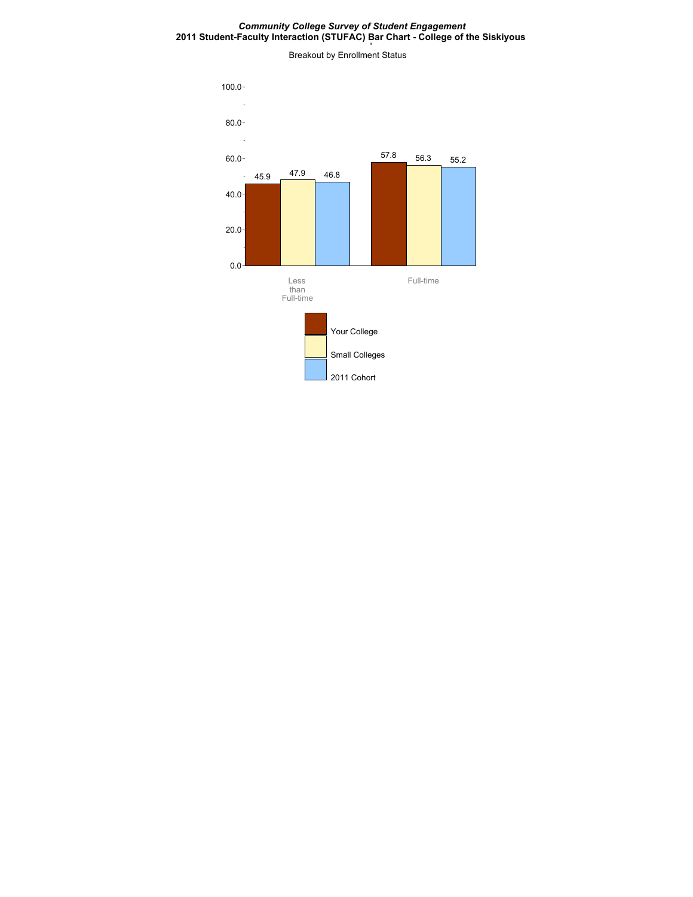#### *Community College Survey of Student Engagement* **2011 Student-Faculty Interaction (STUFAC) Bar Chart - College of the Siskiyous**

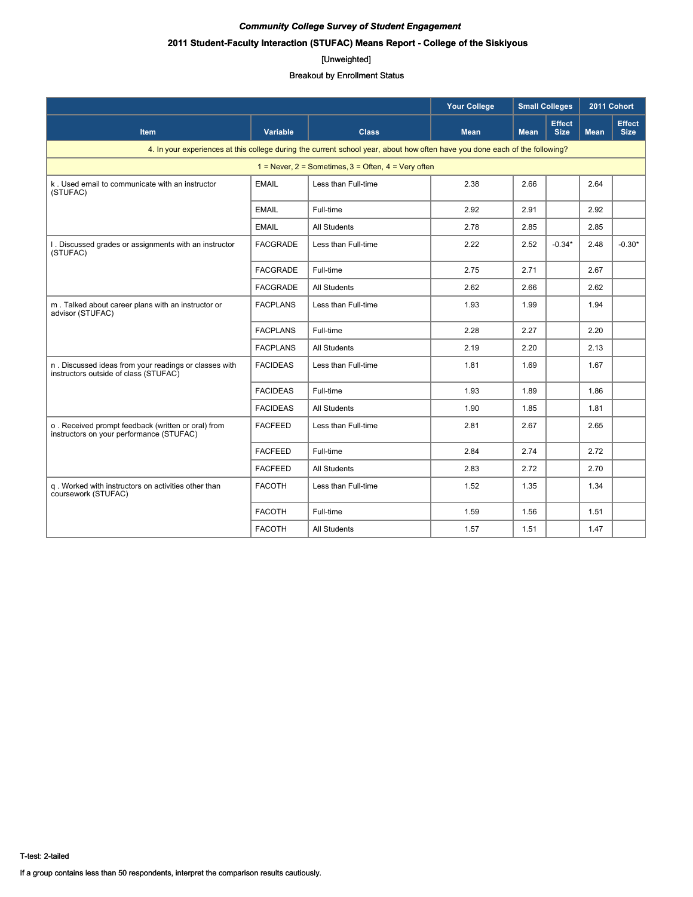# **2011 Student-Faculty Interaction (STUFAC) Means Report - College of the Siskiyous**

#### [Unweighted]

|                                                                                                |                 |                                                                                                                             | <b>Your College</b> | <b>Small Colleges</b> |                              | 2011 Cohort |                              |
|------------------------------------------------------------------------------------------------|-----------------|-----------------------------------------------------------------------------------------------------------------------------|---------------------|-----------------------|------------------------------|-------------|------------------------------|
| <b>Item</b>                                                                                    | <b>Variable</b> | <b>Class</b>                                                                                                                | <b>Mean</b>         | <b>Mean</b>           | <b>Effect</b><br><b>Size</b> | <b>Mean</b> | <b>Effect</b><br><b>Size</b> |
|                                                                                                |                 | 4. In your experiences at this college during the current school year, about how often have you done each of the following? |                     |                       |                              |             |                              |
|                                                                                                |                 | $1 =$ Never, 2 = Sometimes, 3 = Often, 4 = Very often                                                                       |                     |                       |                              |             |                              |
| k. Used email to communicate with an instructor<br>(STUFAC)                                    | <b>EMAIL</b>    | Less than Full-time                                                                                                         | 2.38                | 2.66                  |                              | 2.64        |                              |
|                                                                                                | <b>EMAIL</b>    | Full-time                                                                                                                   | 2.92                | 2.91                  |                              | 2.92        |                              |
|                                                                                                | <b>EMAIL</b>    | <b>All Students</b>                                                                                                         | 2.78                | 2.85                  |                              | 2.85        |                              |
| 1. Discussed grades or assignments with an instructor<br>(STUFAC)                              | <b>FACGRADE</b> | Less than Full-time                                                                                                         | 2.22                | 2.52                  | $-0.34*$                     | 2.48        | $-0.30*$                     |
|                                                                                                | <b>FACGRADE</b> | Full-time                                                                                                                   | 2.75                | 2.71                  |                              | 2.67        |                              |
|                                                                                                | <b>FACGRADE</b> | All Students                                                                                                                | 2.62                | 2.66                  |                              | 2.62        |                              |
| m. Talked about career plans with an instructor or<br>advisor (STUFAC)                         | <b>FACPLANS</b> | Less than Full-time                                                                                                         | 1.93                | 1.99                  |                              | 1.94        |                              |
|                                                                                                | <b>FACPLANS</b> | Full-time                                                                                                                   | 2.28                | 2.27                  |                              | 2.20        |                              |
|                                                                                                | <b>FACPLANS</b> | <b>All Students</b>                                                                                                         | 2.19                | 2.20                  |                              | 2.13        |                              |
| n. Discussed ideas from your readings or classes with<br>instructors outside of class (STUFAC) | <b>FACIDEAS</b> | Less than Full-time                                                                                                         | 1.81                | 1.69                  |                              | 1.67        |                              |
|                                                                                                | <b>FACIDEAS</b> | Full-time                                                                                                                   | 1.93                | 1.89                  |                              | 1.86        |                              |
|                                                                                                | <b>FACIDEAS</b> | <b>All Students</b>                                                                                                         | 1.90                | 1.85                  |                              | 1.81        |                              |
| o. Received prompt feedback (written or oral) from<br>instructors on your performance (STUFAC) | <b>FACFEED</b>  | Less than Full-time                                                                                                         | 2.81                | 2.67                  |                              | 2.65        |                              |
|                                                                                                | <b>FACFEED</b>  | Full-time                                                                                                                   | 2.84                | 2.74                  |                              | 2.72        |                              |
|                                                                                                | <b>FACFEED</b>  | All Students                                                                                                                | 2.83                | 2.72                  |                              | 2.70        |                              |
| q. Worked with instructors on activities other than<br>coursework (STUFAC)                     | <b>FACOTH</b>   | Less than Full-time                                                                                                         | 1.52                | 1.35                  |                              | 1.34        |                              |
|                                                                                                | <b>FACOTH</b>   | Full-time                                                                                                                   | 1.59                | 1.56                  |                              | 1.51        |                              |
|                                                                                                | <b>FACOTH</b>   | <b>All Students</b>                                                                                                         | 1.57                | 1.51                  |                              | 1.47        |                              |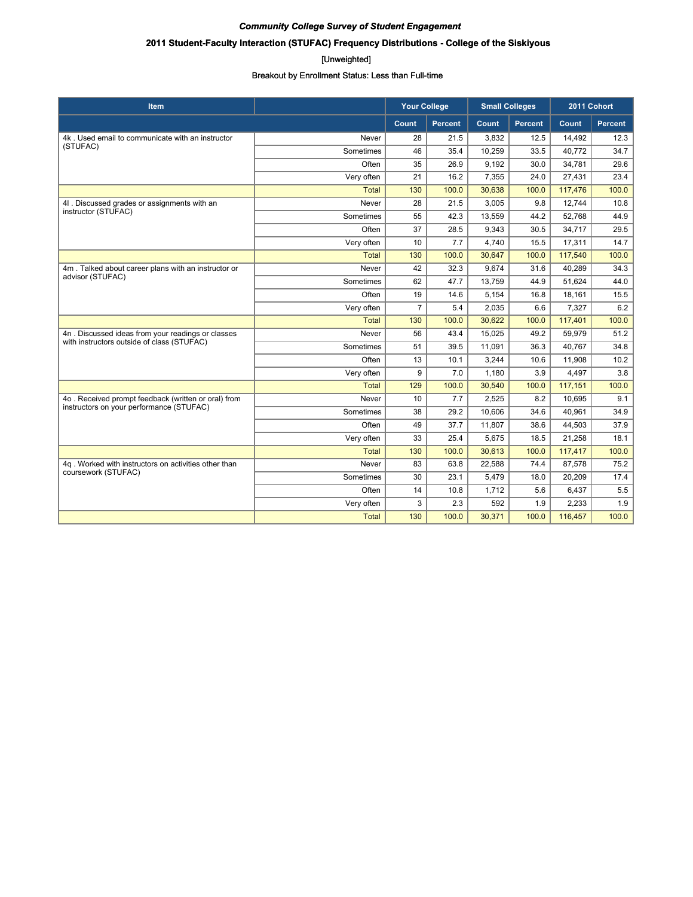# **2011 Student-Faculty Interaction (STUFAC) Frequency Distributions - College of the Siskiyous**

#### [Unweighted]

| <b>Item</b>                                                                                     |              | <b>Your College</b> |                | <b>Small Colleges</b> |                | 2011 Cohort |                |
|-------------------------------------------------------------------------------------------------|--------------|---------------------|----------------|-----------------------|----------------|-------------|----------------|
|                                                                                                 |              | <b>Count</b>        | <b>Percent</b> | Count                 | <b>Percent</b> | Count       | <b>Percent</b> |
| 4k. Used email to communicate with an instructor<br>(STUFAC)                                    | Never        | 28                  | 21.5           | 3.832                 | 12.5           | 14,492      | 12.3           |
|                                                                                                 | Sometimes    | 46                  | 35.4           | 10,259                | 33.5           | 40.772      | 34.7           |
|                                                                                                 | Often        | 35                  | 26.9           | 9,192                 | 30.0           | 34,781      | 29.6           |
|                                                                                                 | Very often   | 21                  | 16.2           | 7,355                 | 24.0           | 27,431      | 23.4           |
|                                                                                                 | <b>Total</b> | 130                 | 100.0          | 30,638                | 100.0          | 117,476     | 100.0          |
| 4I . Discussed grades or assignments with an                                                    | Never        | 28                  | 21.5           | 3,005                 | 9.8            | 12,744      | 10.8           |
| instructor (STUFAC)                                                                             | Sometimes    | 55                  | 42.3           | 13,559                | 44.2           | 52,768      | 44.9           |
|                                                                                                 | Often        | 37                  | 28.5           | 9,343                 | 30.5           | 34,717      | 29.5           |
|                                                                                                 | Very often   | 10                  | 7.7            | 4,740                 | 15.5           | 17,311      | 14.7           |
|                                                                                                 | <b>Total</b> | 130                 | 100.0          | 30,647                | 100.0          | 117,540     | 100.0          |
| 4m. Talked about career plans with an instructor or                                             | Never        | 42                  | 32.3           | 9.674                 | 31.6           | 40,289      | 34.3           |
| advisor (STUFAC)                                                                                | Sometimes    | 62                  | 47.7           | 13.759                | 44.9           | 51.624      | 44.0           |
|                                                                                                 | Often        | 19                  | 14.6           | 5,154                 | 16.8           | 18,161      | 15.5           |
|                                                                                                 | Very often   | $\overline{7}$      | 5.4            | 2,035                 | 6.6            | 7,327       | 6.2            |
|                                                                                                 | Total        | 130                 | 100.0          | 30,622                | 100.0          | 117,401     | 100.0          |
| 4n. Discussed ideas from your readings or classes<br>with instructors outside of class (STUFAC) | Never        | 56                  | 43.4           | 15,025                | 49.2           | 59,979      | 51.2           |
|                                                                                                 | Sometimes    | 51                  | 39.5           | 11,091                | 36.3           | 40,767      | 34.8           |
|                                                                                                 | Often        | 13                  | 10.1           | 3,244                 | 10.6           | 11,908      | 10.2           |
|                                                                                                 | Very often   | 9                   | 7.0            | 1,180                 | 3.9            | 4,497       | 3.8            |
|                                                                                                 | <b>Total</b> | 129                 | 100.0          | 30,540                | 100.0          | 117,151     | 100.0          |
| 4o. Received prompt feedback (written or oral) from                                             | Never        | 10                  | 7.7            | 2,525                 | 8.2            | 10.695      | 9.1            |
| instructors on your performance (STUFAC)                                                        | Sometimes    | 38                  | 29.2           | 10.606                | 34.6           | 40.961      | 34.9           |
|                                                                                                 | Often        | 49                  | 37.7           | 11,807                | 38.6           | 44,503      | 37.9           |
|                                                                                                 | Very often   | 33                  | 25.4           | 5,675                 | 18.5           | 21,258      | 18.1           |
|                                                                                                 | <b>Total</b> | 130                 | 100.0          | 30,613                | 100.0          | 117,417     | 100.0          |
| 4q. Worked with instructors on activities other than<br>coursework (STUFAC)                     | Never        | 83                  | 63.8           | 22,588                | 74.4           | 87,578      | 75.2           |
|                                                                                                 | Sometimes    | 30                  | 23.1           | 5,479                 | 18.0           | 20,209      | 17.4           |
|                                                                                                 | Often        | 14                  | 10.8           | 1,712                 | 5.6            | 6,437       | 5.5            |
|                                                                                                 | Very often   | 3                   | 2.3            | 592                   | 1.9            | 2,233       | 1.9            |
|                                                                                                 | <b>Total</b> | 130                 | 100.0          | 30,371                | 100.0          | 116,457     | 100.0          |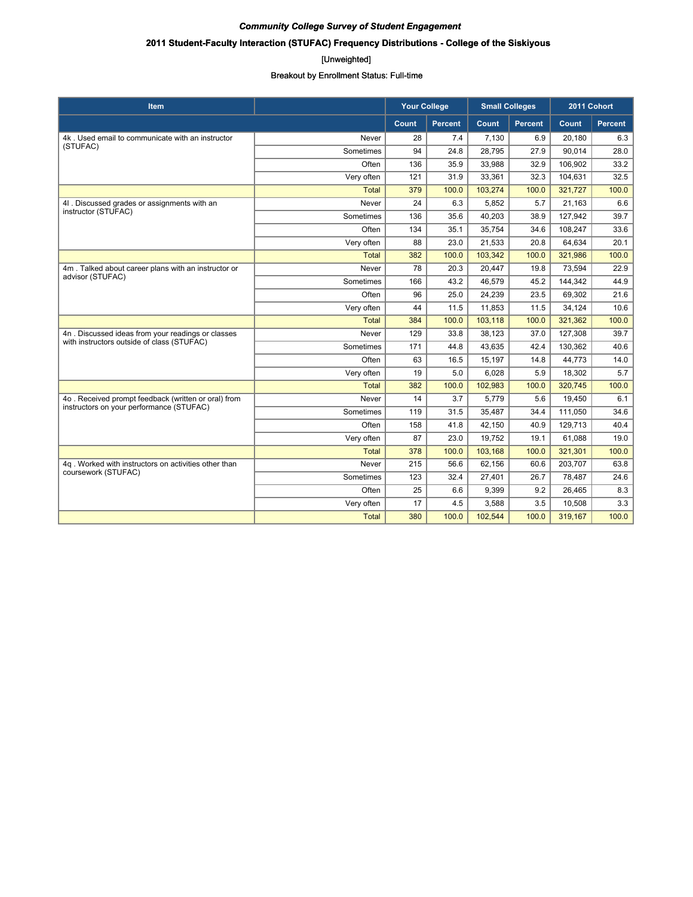# **2011 Student-Faculty Interaction (STUFAC) Frequency Distributions - College of the Siskiyous**

#### [Unweighted]

| <b>Item</b>                                                                                     |              | <b>Your College</b> |                | <b>Small Colleges</b> |                | 2011 Cohort |                |
|-------------------------------------------------------------------------------------------------|--------------|---------------------|----------------|-----------------------|----------------|-------------|----------------|
|                                                                                                 |              | Count               | <b>Percent</b> | Count                 | <b>Percent</b> | Count       | <b>Percent</b> |
| 4k. Used email to communicate with an instructor<br>(STUFAC)                                    | Never        | 28                  | 7.4            | 7,130                 | 6.9            | 20,180      | 6.3            |
|                                                                                                 | Sometimes    | 94                  | 24.8           | 28,795                | 27.9           | 90,014      | 28.0           |
|                                                                                                 | Often        | 136                 | 35.9           | 33,988                | 32.9           | 106,902     | 33.2           |
|                                                                                                 | Very often   | 121                 | 31.9           | 33,361                | 32.3           | 104,631     | 32.5           |
|                                                                                                 | <b>Total</b> | 379                 | 100.0          | 103.274               | 100.0          | 321,727     | 100.0          |
| 4I . Discussed grades or assignments with an                                                    | Never        | 24                  | 6.3            | 5,852                 | 5.7            | 21,163      | 6.6            |
| instructor (STUFAC)                                                                             | Sometimes    | 136                 | 35.6           | 40,203                | 38.9           | 127,942     | 39.7           |
|                                                                                                 | Often        | 134                 | 35.1           | 35,754                | 34.6           | 108,247     | 33.6           |
|                                                                                                 | Very often   | 88                  | 23.0           | 21,533                | 20.8           | 64,634      | 20.1           |
|                                                                                                 | <b>Total</b> | 382                 | 100.0          | 103,342               | 100.0          | 321,986     | 100.0          |
| 4m. Talked about career plans with an instructor or                                             | Never        | 78                  | 20.3           | 20,447                | 19.8           | 73,594      | 22.9           |
| advisor (STUFAC)                                                                                | Sometimes    | 166                 | 43.2           | 46,579                | 45.2           | 144,342     | 44.9           |
|                                                                                                 | Often        | 96                  | 25.0           | 24,239                | 23.5           | 69,302      | 21.6           |
|                                                                                                 | Very often   | 44                  | 11.5           | 11,853                | 11.5           | 34,124      | 10.6           |
|                                                                                                 | <b>Total</b> | 384                 | 100.0          | 103,118               | 100.0          | 321,362     | 100.0          |
| 4n. Discussed ideas from your readings or classes<br>with instructors outside of class (STUFAC) | Never        | 129                 | 33.8           | 38,123                | 37.0           | 127,308     | 39.7           |
|                                                                                                 | Sometimes    | 171                 | 44.8           | 43.635                | 42.4           | 130,362     | 40.6           |
|                                                                                                 | Often        | 63                  | 16.5           | 15,197                | 14.8           | 44,773      | 14.0           |
|                                                                                                 | Very often   | 19                  | 5.0            | 6,028                 | 5.9            | 18,302      | 5.7            |
|                                                                                                 | <b>Total</b> | 382                 | 100.0          | 102,983               | 100.0          | 320,745     | 100.0          |
| 4o. Received prompt feedback (written or oral) from                                             | Never        | 14                  | 3.7            | 5,779                 | 5.6            | 19.450      | 6.1            |
| instructors on your performance (STUFAC)                                                        | Sometimes    | 119                 | 31.5           | 35,487                | 34.4           | 111,050     | 34.6           |
|                                                                                                 | Often        | 158                 | 41.8           | 42,150                | 40.9           | 129,713     | 40.4           |
|                                                                                                 | Very often   | 87                  | 23.0           | 19,752                | 19.1           | 61,088      | 19.0           |
|                                                                                                 | <b>Total</b> | 378                 | 100.0          | 103,168               | 100.0          | 321,301     | 100.0          |
| 4g. Worked with instructors on activities other than<br>coursework (STUFAC)                     | Never        | 215                 | 56.6           | 62,156                | 60.6           | 203,707     | 63.8           |
|                                                                                                 | Sometimes    | 123                 | 32.4           | 27,401                | 26.7           | 78,487      | 24.6           |
|                                                                                                 | Often        | 25                  | 6.6            | 9,399                 | 9.2            | 26,465      | 8.3            |
|                                                                                                 | Very often   | 17                  | 4.5            | 3,588                 | 3.5            | 10,508      | 3.3            |
|                                                                                                 | <b>Total</b> | 380                 | 100.0          | 102,544               | 100.0          | 319,167     | 100.0          |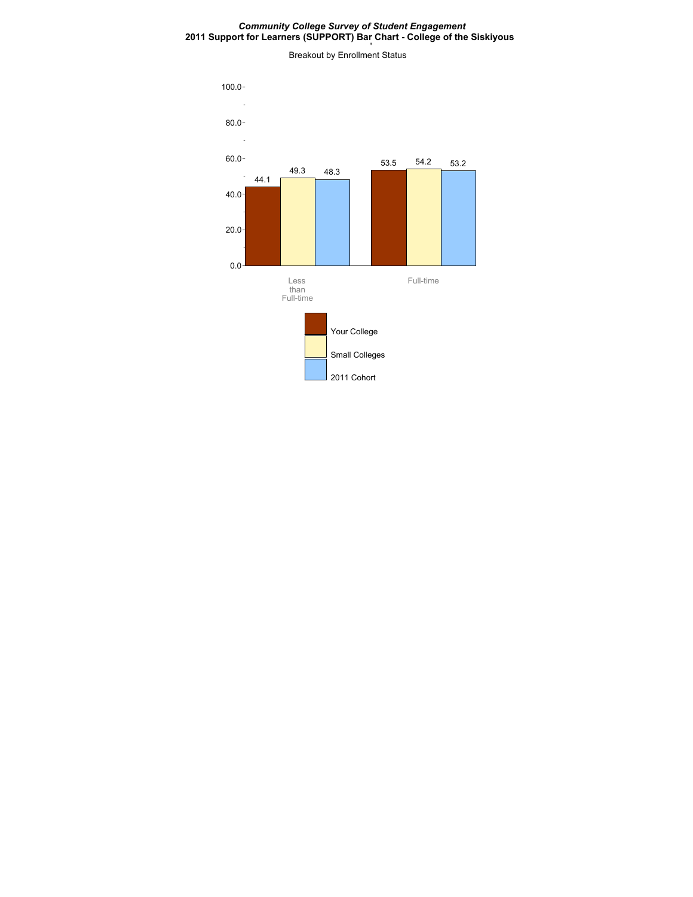#### *Community College Survey of Student Engagement* **2011 Support for Learners (SUPPORT) Bar Chart - College of the Siskiyous**

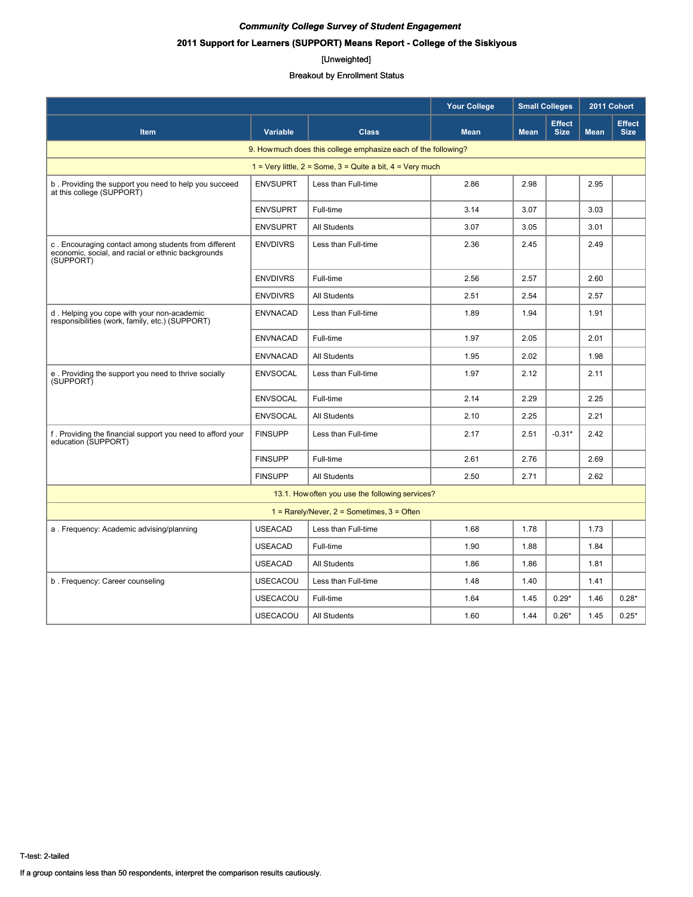# **2011 Support for Learners (SUPPORT) Means Report - College of the Siskiyous**

#### [Unweighted]

|                                                                                                                         |                 |                                                 | <b>Your College</b> | <b>Small Colleges</b> |                              | 2011 Cohort |                              |  |  |
|-------------------------------------------------------------------------------------------------------------------------|-----------------|-------------------------------------------------|---------------------|-----------------------|------------------------------|-------------|------------------------------|--|--|
| Item                                                                                                                    | <b>Variable</b> | <b>Class</b>                                    | <b>Mean</b>         | <b>Mean</b>           | <b>Effect</b><br><b>Size</b> |             | <b>Effect</b><br><b>Size</b> |  |  |
| 9. How much does this college emphasize each of the following?                                                          |                 |                                                 |                     |                       |                              |             |                              |  |  |
| 1 = Very little, $2 =$ Some, $3 =$ Quite a bit, $4 =$ Very much                                                         |                 |                                                 |                     |                       |                              |             |                              |  |  |
| b. Providing the support you need to help you succeed<br>at this college (SUPPORT)                                      | <b>ENVSUPRT</b> | Less than Full-time                             | 2.86                | 2.98                  |                              | 2.95        |                              |  |  |
|                                                                                                                         | <b>ENVSUPRT</b> | Full-time                                       | 3.14                | 3.07                  |                              | 3.03        |                              |  |  |
|                                                                                                                         | <b>ENVSUPRT</b> | All Students                                    | 3.07                | 3.05                  |                              | 3.01        |                              |  |  |
| c. Encouraging contact among students from different<br>economic, social, and racial or ethnic backgrounds<br>(SUPPORT) | <b>ENVDIVRS</b> | Less than Full-time                             | 2.36                | 2.45                  |                              | 2.49        |                              |  |  |
|                                                                                                                         | <b>ENVDIVRS</b> | Full-time                                       | 2.56                | 2.57                  |                              | 2.60        |                              |  |  |
|                                                                                                                         | <b>ENVDIVRS</b> | All Students                                    | 2.51                | 2.54                  |                              | 2.57        |                              |  |  |
| d. Helping you cope with your non-academic<br>responsibilities (work, family, etc.) (SUPPORT)                           | <b>ENVNACAD</b> | Less than Full-time                             | 1.89                | 1.94                  |                              | 1.91        |                              |  |  |
|                                                                                                                         | <b>ENVNACAD</b> | Full-time                                       | 1.97                | 2.05                  |                              | 2.01        |                              |  |  |
|                                                                                                                         | <b>ENVNACAD</b> | <b>All Students</b>                             | 1.95                | 2.02                  |                              | 1.98        |                              |  |  |
| e. Providing the support you need to thrive socially<br>(SUPPORT)                                                       | <b>ENVSOCAL</b> | Less than Full-time                             | 1.97                | 2.12                  |                              | 2.11        |                              |  |  |
|                                                                                                                         | <b>ENVSOCAL</b> | Full-time                                       | 2.14                | 2.29                  |                              | 2.25        |                              |  |  |
|                                                                                                                         | <b>ENVSOCAL</b> | All Students                                    | 2.10                | 2.25                  |                              | 2.21        |                              |  |  |
| f. Providing the financial support you need to afford your<br>education (SUPPORT)                                       | <b>FINSUPP</b>  | Less than Full-time                             | 2.17                | 2.51                  | $-0.31*$                     | 2.42        |                              |  |  |
|                                                                                                                         | <b>FINSUPP</b>  | Full-time                                       | 2.61                | 2.76                  |                              | 2.69        |                              |  |  |
|                                                                                                                         | <b>FINSUPP</b>  | <b>All Students</b>                             | 2.50                | 2.71                  |                              | 2.62        |                              |  |  |
|                                                                                                                         |                 | 13.1. How often you use the following services? |                     |                       |                              |             |                              |  |  |
| $1 =$ Rarely/Never, $2 =$ Sometimes, $3 =$ Often                                                                        |                 |                                                 |                     |                       |                              |             |                              |  |  |
| a. Frequency: Academic advising/planning                                                                                | <b>USEACAD</b>  | Less than Full-time                             | 1.68                | 1.78                  |                              | 1.73        |                              |  |  |
|                                                                                                                         | <b>USEACAD</b>  | Full-time                                       | 1.90                | 1.88                  |                              | 1.84        |                              |  |  |
|                                                                                                                         | <b>USEACAD</b>  | <b>All Students</b>                             | 1.86                | 1.86                  |                              | 1.81        |                              |  |  |
| b. Frequency: Career counseling                                                                                         | <b>USECACOU</b> | Less than Full-time                             | 1.48                | 1.40                  |                              | 1.41        |                              |  |  |
|                                                                                                                         | <b>USECACOU</b> | Full-time                                       | 1.64                | 1.45                  | $0.29*$                      | 1.46        | $0.28*$                      |  |  |
|                                                                                                                         | <b>USECACOU</b> | <b>All Students</b>                             | 1.60                | 1.44                  | $0.26*$                      | 1.45        | $0.25*$                      |  |  |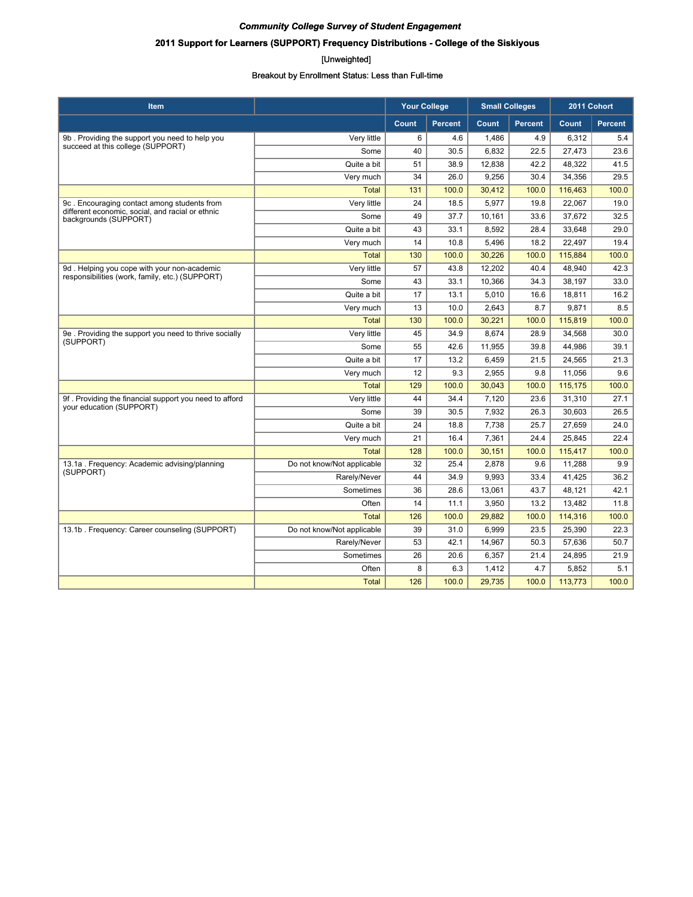# **2011 Support for Learners (SUPPORT) Frequency Distributions - College of the Siskiyous**

#### [Unweighted]

| <b>Item</b>                                                                         |                            | <b>Your College</b> |                | <b>Small Colleges</b> |                | 2011 Cohort |                |
|-------------------------------------------------------------------------------------|----------------------------|---------------------|----------------|-----------------------|----------------|-------------|----------------|
|                                                                                     |                            | Count               | <b>Percent</b> | Count                 | <b>Percent</b> | Count       | <b>Percent</b> |
| 9b. Providing the support you need to help you<br>succeed at this college (SUPPORT) | Very little                | 6                   | 4.6            | 1,486                 | 4.9            | 6,312       | 5.4            |
|                                                                                     | Some                       | 40                  | 30.5           | 6,832                 | 22.5           | 27,473      | 23.6           |
|                                                                                     | Quite a bit                | 51                  | 38.9           | 12,838                | 42.2           | 48.322      | 41.5           |
|                                                                                     | Very much                  | 34                  | 26.0           | 9,256                 | 30.4           | 34,356      | 29.5           |
|                                                                                     | <b>Total</b>               | 131                 | 100.0          | 30,412                | 100.0          | 116,463     | 100.0          |
| 9c. Encouraging contact among students from                                         | Very little                | 24                  | 18.5           | 5,977                 | 19.8           | 22,067      | 19.0           |
| different economic, social, and racial or ethnic<br>backgrounds (SUPPORT)           | Some                       | 49                  | 37.7           | 10,161                | 33.6           | 37,672      | 32.5           |
|                                                                                     | Quite a bit                | 43                  | 33.1           | 8,592                 | 28.4           | 33,648      | 29.0           |
|                                                                                     | Very much                  | 14                  | 10.8           | 5,496                 | 18.2           | 22,497      | 19.4           |
|                                                                                     | <b>Total</b>               | 130                 | 100.0          | 30,226                | 100.0          | 115,884     | 100.0          |
| 9d. Helping you cope with your non-academic                                         | Very little                | 57                  | 43.8           | 12,202                | 40.4           | 48,940      | 42.3           |
| responsibilities (work, family, etc.) (SUPPORT)                                     | Some                       | 43                  | 33.1           | 10,366                | 34.3           | 38,197      | 33.0           |
|                                                                                     | Quite a bit                | 17                  | 13.1           | 5,010                 | 16.6           | 18,811      | 16.2           |
|                                                                                     | Very much                  | 13                  | 10.0           | 2,643                 | 8.7            | 9,871       | 8.5            |
|                                                                                     | <b>Total</b>               | 130                 | 100.0          | 30,221                | 100.0          | 115,819     | 100.0          |
| 9e. Providing the support you need to thrive socially<br>(SUPPORT)                  | Very little                | 45                  | 34.9           | 8,674                 | 28.9           | 34,568      | 30.0           |
|                                                                                     | Some                       | 55                  | 42.6           | 11,955                | 39.8           | 44,986      | 39.1           |
|                                                                                     | Quite a bit                | 17                  | 13.2           | 6,459                 | 21.5           | 24,565      | 21.3           |
|                                                                                     | Very much                  | 12                  | 9.3            | 2,955                 | 9.8            | 11,056      | 9.6            |
|                                                                                     | <b>Total</b>               | 129                 | 100.0          | 30,043                | 100.0          | 115,175     | 100.0          |
| 9f. Providing the financial support you need to afford<br>your education (SUPPORT)  | Very little                | 44                  | 34.4           | 7,120                 | 23.6           | 31,310      | 27.1           |
|                                                                                     | Some                       | 39                  | 30.5           | 7,932                 | 26.3           | 30.603      | 26.5           |
|                                                                                     | Quite a bit                | 24                  | 18.8           | 7,738                 | 25.7           | 27,659      | 24.0           |
|                                                                                     | Very much                  | 21                  | 16.4           | 7,361                 | 24.4           | 25,845      | 22.4           |
|                                                                                     | <b>Total</b>               | 128                 | 100.0          | 30,151                | 100.0          | 115,417     | 100.0          |
| 13.1a . Frequency: Academic advising/planning                                       | Do not know/Not applicable | 32                  | 25.4           | 2,878                 | 9.6            | 11,288      | 9.9            |
| (SUPPORT)                                                                           | Rarely/Never               | 44                  | 34.9           | 9,993                 | 33.4           | 41,425      | 36.2           |
|                                                                                     | Sometimes                  | 36                  | 28.6           | 13,061                | 43.7           | 48,121      | 42.1           |
|                                                                                     | Often                      | 14                  | 11.1           | 3,950                 | 13.2           | 13,482      | 11.8           |
|                                                                                     | <b>Total</b>               | 126                 | 100.0          | 29,882                | 100.0          | 114,316     | 100.0          |
| 13.1b. Frequency: Career counseling (SUPPORT)                                       | Do not know/Not applicable | 39                  | 31.0           | 6,999                 | 23.5           | 25,390      | 22.3           |
|                                                                                     | Rarely/Never               | 53                  | 42.1           | 14,967                | 50.3           | 57,636      | 50.7           |
|                                                                                     | Sometimes                  | 26                  | 20.6           | 6,357                 | 21.4           | 24,895      | 21.9           |
|                                                                                     | Often                      | 8                   | 6.3            | 1,412                 | 4.7            | 5,852       | 5.1            |
|                                                                                     | <b>Total</b>               | 126                 | 100.0          | 29,735                | 100.0          | 113,773     | 100.0          |